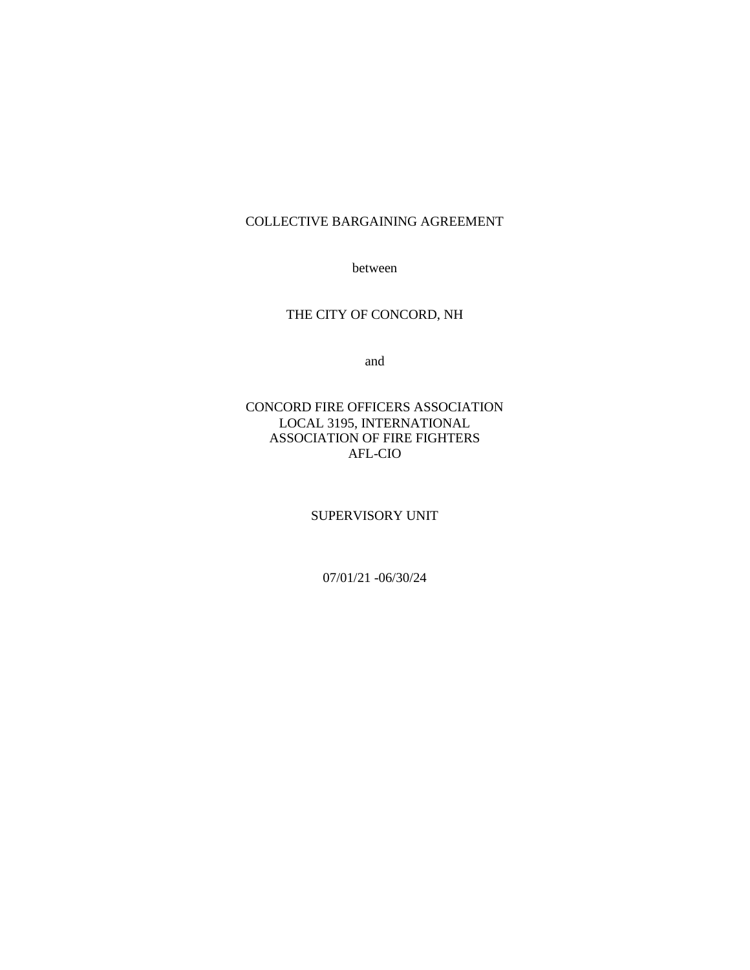### COLLECTIVE BARGAINING AGREEMENT

between

## THE CITY OF CONCORD, NH

and

### CONCORD FIRE OFFICERS ASSOCIATION LOCAL 3195, INTERNATIONAL ASSOCIATION OF FIRE FIGHTERS AFL-CIO

SUPERVISORY UNIT

07/01/21 -06/30/24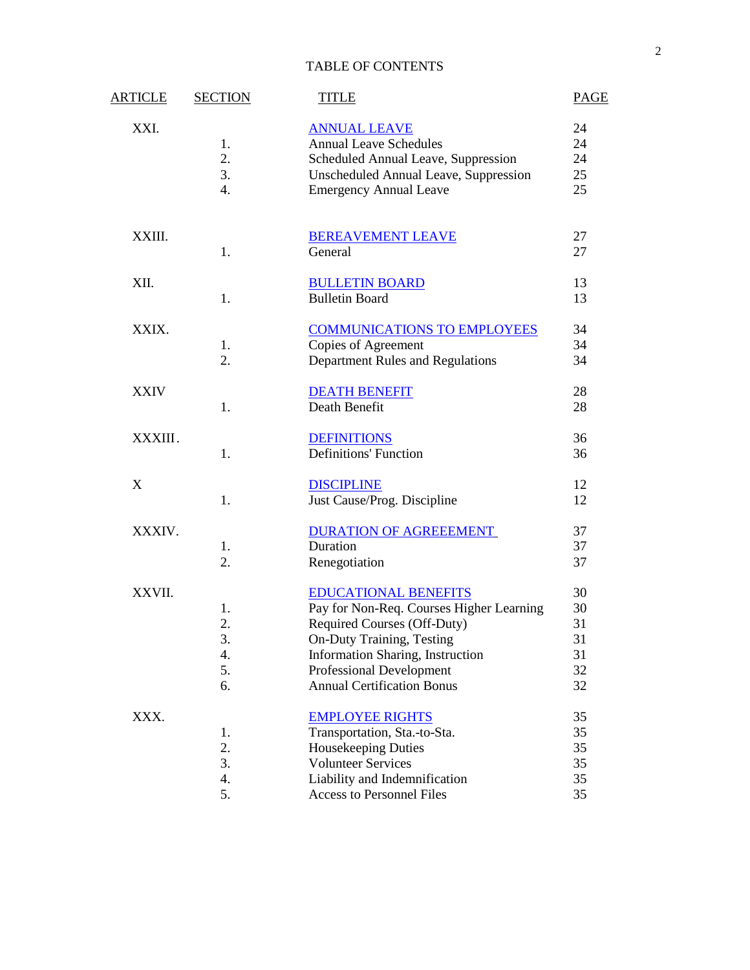### TABLE OF CONTENTS

| <b>ARTICLE</b> | <b>SECTION</b> | <b>TITLE</b>                                 | <b>PAGE</b> |
|----------------|----------------|----------------------------------------------|-------------|
| XXI.           |                | <b>ANNUAL LEAVE</b>                          | 24          |
|                | 1.             | <b>Annual Leave Schedules</b>                | 24          |
|                | 2.             | Scheduled Annual Leave, Suppression          | 24          |
|                | 3.             | <b>Unscheduled Annual Leave, Suppression</b> | 25          |
|                | 4.             | <b>Emergency Annual Leave</b>                | 25          |
| XXIII.         |                | <b>BEREAVEMENT LEAVE</b>                     | 27          |
|                | 1.             | General                                      | 27          |
| XII.           |                | <b>BULLETIN BOARD</b>                        | 13          |
|                | 1.             | <b>Bulletin Board</b>                        | 13          |
| XXIX.          |                | <b>COMMUNICATIONS TO EMPLOYEES</b>           | 34          |
|                | 1.             | Copies of Agreement                          | 34          |
|                | 2.             | Department Rules and Regulations             | 34          |
| <b>XXIV</b>    |                | <b>DEATH BENEFIT</b>                         | 28          |
|                | 1.             | Death Benefit                                | 28          |
| XXXIII.        |                | <b>DEFINITIONS</b>                           | 36          |
|                | 1.             | <b>Definitions' Function</b>                 | 36          |
| X              |                | <b>DISCIPLINE</b>                            | 12          |
|                | 1.             | Just Cause/Prog. Discipline                  | 12          |
| XXXIV.         |                | <b>DURATION OF AGREEEMENT</b>                | 37          |
|                | 1.             | Duration                                     | 37          |
|                | 2.             | Renegotiation                                | 37          |
| XXVII.         |                | <b>EDUCATIONAL BENEFITS</b>                  | 30          |
|                | 1.             | Pay for Non-Req. Courses Higher Learning     | 30          |
|                | 2.             | Required Courses (Off-Duty)                  | 31          |
|                | 3.             | <b>On-Duty Training, Testing</b>             | 31          |
|                | 4.             | Information Sharing, Instruction             | 31          |
|                | 5.             | <b>Professional Development</b>              | 32          |
|                | 6.             | <b>Annual Certification Bonus</b>            | 32          |
| XXX.           |                | <b>EMPLOYEE RIGHTS</b>                       | 35          |
|                | 1.             | Transportation, Sta.-to-Sta.                 | 35          |
|                | 2.             | <b>Housekeeping Duties</b>                   | 35          |
|                | 3.             | <b>Volunteer Services</b>                    | 35          |
|                | 4.             | Liability and Indemnification                | 35          |
|                | 5.             | Access to Personnel Files                    | 35          |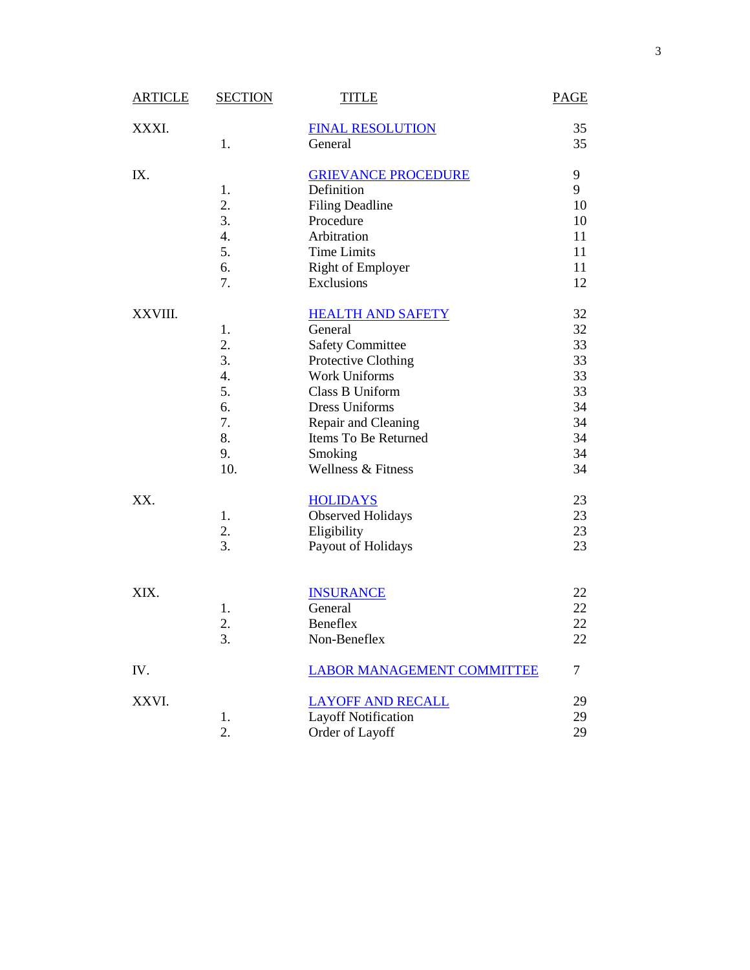| <b>ARTICLE</b> | <b>SECTION</b> | <b>TITLE</b>                      | <b>PAGE</b> |
|----------------|----------------|-----------------------------------|-------------|
| XXXI.          |                | <b>FINAL RESOLUTION</b>           | 35          |
|                | 1.             | General                           | 35          |
| IX.            |                | <b>GRIEVANCE PROCEDURE</b>        | 9           |
|                | 1.             | Definition                        | 9           |
|                | 2.             | <b>Filing Deadline</b>            | 10          |
|                | 3.             | Procedure                         | 10          |
|                | 4.             | Arbitration                       | 11          |
|                | 5.             | <b>Time Limits</b>                | 11          |
|                | 6.             | <b>Right of Employer</b>          | 11          |
|                | 7.             | Exclusions                        | 12          |
| XXVIII.        |                | <b>HEALTH AND SAFETY</b>          | 32          |
|                | 1.             | General                           | 32          |
|                | 2.             | <b>Safety Committee</b>           | 33          |
|                | 3.             | Protective Clothing               | 33          |
|                | 4.             | <b>Work Uniforms</b>              | 33          |
|                | 5.             | Class B Uniform                   | 33          |
|                | 6.             | <b>Dress Uniforms</b>             | 34          |
|                | 7.             | Repair and Cleaning               | 34          |
|                | 8.             | Items To Be Returned              | 34          |
|                | 9.             | Smoking                           | 34          |
|                | 10.            | Wellness & Fitness                | 34          |
| XX.            |                | <b>HOLIDAYS</b>                   | 23          |
|                | 1.             | <b>Observed Holidays</b>          | 23          |
|                | 2.             | Eligibility                       | 23          |
|                | 3.             | Payout of Holidays                | 23          |
|                |                |                                   |             |
| XIX.           |                | <b>INSURANCE</b>                  | 22          |
|                | 1.             | General                           | 22          |
|                | 2.             | Beneflex                          | 22          |
|                | 3.             | Non-Beneflex                      | 22          |
| IV.            |                | <b>LABOR MANAGEMENT COMMITTEE</b> | 7           |
| XXVI.          |                | <b>LAYOFF AND RECALL</b>          | 29          |
|                | 1.             | <b>Layoff Notification</b>        | 29          |
|                | 2.             | Order of Layoff                   | 29          |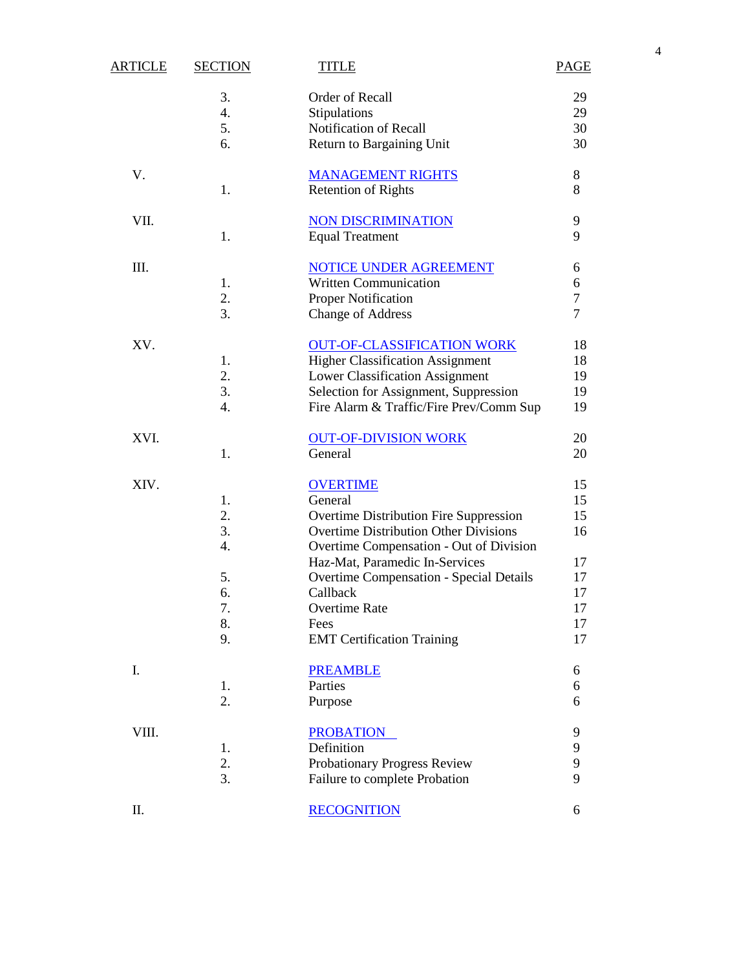|                |                |                                                                           |                | $\overline{4}$ |
|----------------|----------------|---------------------------------------------------------------------------|----------------|----------------|
| <b>ARTICLE</b> | <b>SECTION</b> | <b>TITLE</b>                                                              | <b>PAGE</b>    |                |
|                | 3.             | Order of Recall                                                           | 29             |                |
|                | 4.             | Stipulations                                                              | 29             |                |
|                | 5.             | Notification of Recall                                                    | 30             |                |
|                | 6.             | Return to Bargaining Unit                                                 | 30             |                |
| V.             |                | <b>MANAGEMENT RIGHTS</b>                                                  | $\,8\,$        |                |
|                | 1.             | <b>Retention of Rights</b>                                                | 8              |                |
| VII.           |                | <b>NON DISCRIMINATION</b>                                                 | 9              |                |
|                | 1.             | <b>Equal Treatment</b>                                                    | 9              |                |
| Ш.             |                | <b>NOTICE UNDER AGREEMENT</b>                                             | 6              |                |
|                | 1.             | <b>Written Communication</b>                                              | 6              |                |
|                | 2.             | Proper Notification                                                       | $\tau$         |                |
|                | 3.             | <b>Change of Address</b>                                                  | $\overline{7}$ |                |
| XV.            |                | <b>OUT-OF-CLASSIFICATION WORK</b>                                         | 18             |                |
|                | 1.             | <b>Higher Classification Assignment</b>                                   | 18             |                |
|                | 2.             | Lower Classification Assignment                                           | 19             |                |
|                | 3.             | Selection for Assignment, Suppression                                     | 19             |                |
|                | 4.             | Fire Alarm & Traffic/Fire Prev/Comm Sup                                   | 19             |                |
| XVI.           |                | <b>OUT-OF-DIVISION WORK</b>                                               | 20             |                |
|                | 1.             | General                                                                   | 20             |                |
| XIV.           |                | <b>OVERTIME</b>                                                           | 15             |                |
|                | 1.             | General                                                                   | 15             |                |
|                | 2.             | Overtime Distribution Fire Suppression                                    | 15             |                |
|                | 3.             | <b>Overtime Distribution Other Divisions</b>                              | 16             |                |
|                | 4.             | Overtime Compensation - Out of Division<br>Haz-Mat, Paramedic In-Services | 17             |                |
|                | 5.             | <b>Overtime Compensation - Special Details</b>                            | 17             |                |
|                | 6.             | Callback                                                                  | 17             |                |
|                | 7.             | Overtime Rate                                                             | 17             |                |
|                | 8.             | Fees                                                                      | 17             |                |
|                | 9.             | <b>EMT</b> Certification Training                                         | 17             |                |
| I.             |                | <b>PREAMBLE</b>                                                           | 6              |                |
|                | 1.             | Parties                                                                   | 6              |                |
|                | 2.             | Purpose                                                                   | 6              |                |
| VIII.          |                | <b>PROBATION</b>                                                          | 9              |                |
|                | 1.             | Definition                                                                | 9              |                |
|                | 2.             | Probationary Progress Review                                              | 9              |                |
|                | 3.             | Failure to complete Probation                                             | 9              |                |
| Π.             |                | <b>RECOGNITION</b>                                                        | 6              |                |
|                |                |                                                                           |                |                |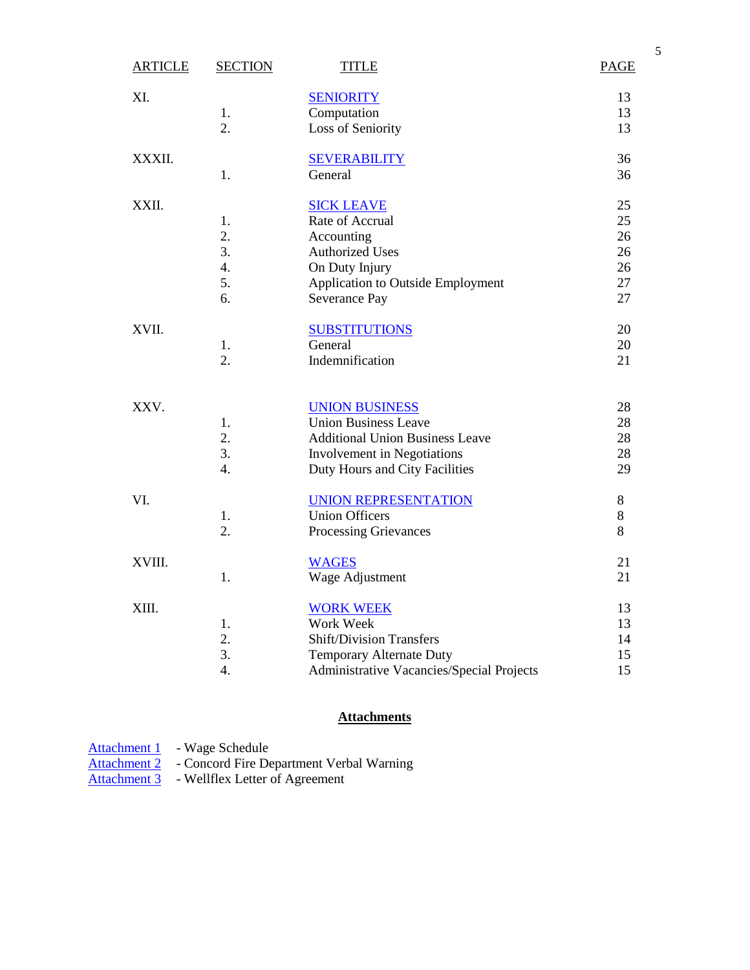| <b>ARTICLE</b> | <b>SECTION</b>   | <b>TITLE</b>                              | <b>PAGE</b> |
|----------------|------------------|-------------------------------------------|-------------|
| XI.            |                  | <b>SENIORITY</b>                          | 13          |
|                | 1.               | Computation                               | 13          |
|                | 2.               | Loss of Seniority                         | 13          |
| XXXII.         |                  | <b>SEVERABILITY</b>                       | 36          |
|                | 1.               | General                                   | 36          |
| XXII.          |                  | <b>SICK LEAVE</b>                         | 25          |
|                | 1.               | Rate of Accrual                           | 25          |
|                | 2.               | Accounting                                | 26          |
|                | 3.               | <b>Authorized Uses</b>                    | 26          |
|                | $\overline{4}$ . | On Duty Injury                            | 26          |
|                | 5.               | Application to Outside Employment         | 27          |
|                | 6.               | Severance Pay                             | 27          |
| XVII.          |                  | <b>SUBSTITUTIONS</b>                      | 20          |
|                | 1.               | General                                   | 20          |
|                | 2.               | Indemnification                           | 21          |
| XXV.           |                  | <b>UNION BUSINESS</b>                     | 28          |
|                | 1.               | <b>Union Business Leave</b>               | 28          |
|                | 2.               | <b>Additional Union Business Leave</b>    | 28          |
|                | 3.               | Involvement in Negotiations               | 28          |
|                | $\overline{4}$ . | Duty Hours and City Facilities            | 29          |
| VI.            |                  | <b>UNION REPRESENTATION</b>               | $8\,$       |
|                | 1.               | <b>Union Officers</b>                     | $8\,$       |
|                | 2.               | Processing Grievances                     | 8           |
| XVIII.         |                  | <b>WAGES</b>                              | 21          |
|                | 1.               | Wage Adjustment                           | 21          |
| XIII.          |                  | <b>WORK WEEK</b>                          | 13          |
|                | 1.               | Work Week                                 | 13          |
|                | 2.               | <b>Shift/Division Transfers</b>           | 14          |
|                | 3.               | Temporary Alternate Duty                  | 15          |
|                | 4.               | Administrative Vacancies/Special Projects | 15          |
|                |                  |                                           |             |

# **Attachments**

| Attachment 1        | - Wage Schedule                          |
|---------------------|------------------------------------------|
| <b>Attachment 2</b> | - Concord Fire Department Verbal Warning |

Attachment 3 - Wellflex Letter of Agreement

5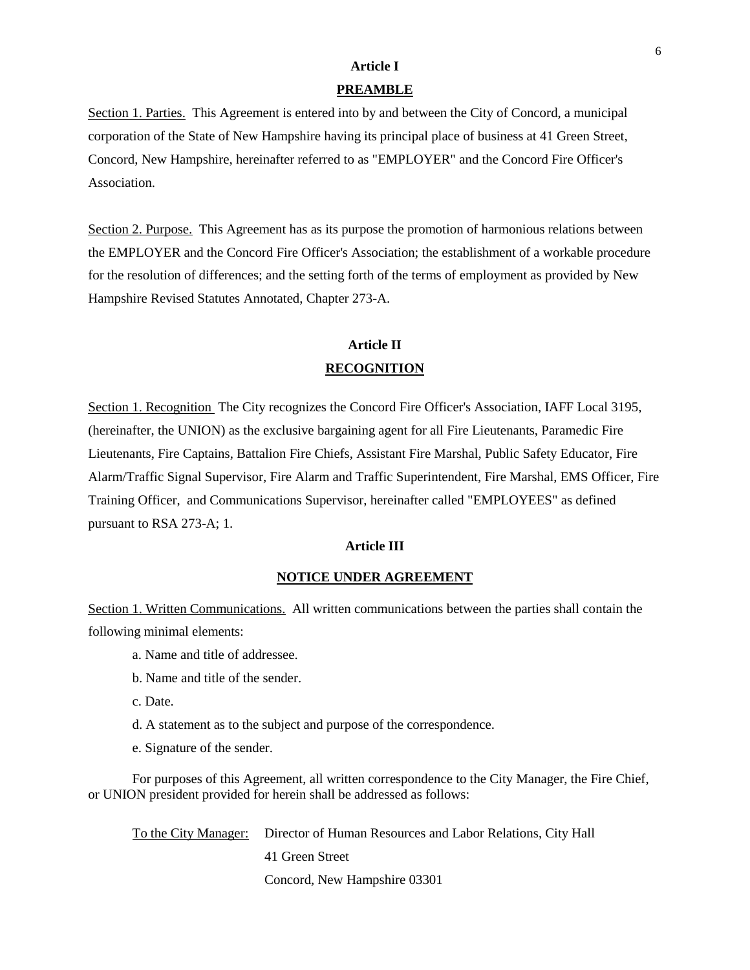## **Article I PREAMBLE**

Section 1. Parties. This Agreement is entered into by and between the City of Concord, a municipal corporation of the State of New Hampshire having its principal place of business at 41 Green Street, Concord, New Hampshire, hereinafter referred to as "EMPLOYER" and the Concord Fire Officer's Association.

Section 2. Purpose. This Agreement has as its purpose the promotion of harmonious relations between the EMPLOYER and the Concord Fire Officer's Association; the establishment of a workable procedure for the resolution of differences; and the setting forth of the terms of employment as provided by New Hampshire Revised Statutes Annotated, Chapter 273-A.

## **Article II RECOGNITION**

Section 1. Recognition The City recognizes the Concord Fire Officer's Association, IAFF Local 3195, (hereinafter, the UNION) as the exclusive bargaining agent for all Fire Lieutenants, Paramedic Fire Lieutenants, Fire Captains, Battalion Fire Chiefs, Assistant Fire Marshal, Public Safety Educator, Fire Alarm/Traffic Signal Supervisor, Fire Alarm and Traffic Superintendent, Fire Marshal, EMS Officer, Fire Training Officer, and Communications Supervisor, hereinafter called "EMPLOYEES" as defined pursuant to RSA 273-A; 1.

### **Article III**

### **NOTICE UNDER AGREEMENT**

Section 1. Written Communications. All written communications between the parties shall contain the following minimal elements:

- a. Name and title of addressee.
- b. Name and title of the sender.
- c. Date.
- d. A statement as to the subject and purpose of the correspondence.
- e. Signature of the sender.

For purposes of this Agreement, all written correspondence to the City Manager, the Fire Chief, or UNION president provided for herein shall be addressed as follows:

To the City Manager: Director of Human Resources and Labor Relations, City Hall 41 Green Street Concord, New Hampshire 03301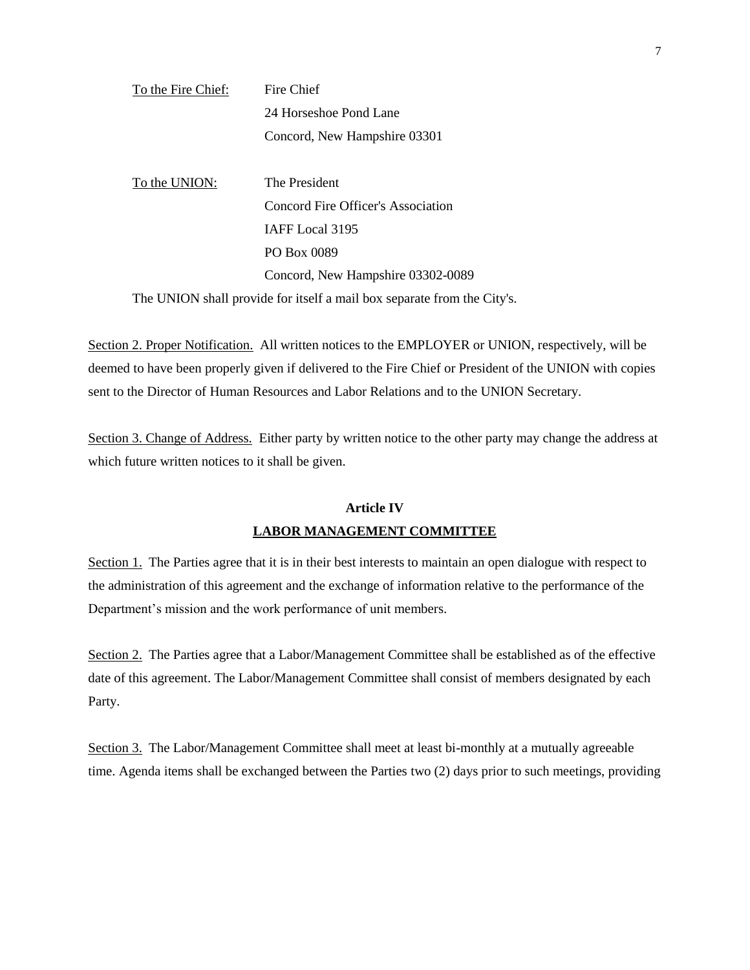| To the Fire Chief: | Fire Chief                                                              |
|--------------------|-------------------------------------------------------------------------|
|                    | 24 Horseshoe Pond Lane                                                  |
|                    | Concord, New Hampshire 03301                                            |
|                    |                                                                         |
| To the UNION:      | The President                                                           |
|                    | Concord Fire Officer's Association                                      |
|                    | IAFF Local 3195                                                         |
|                    | PO Box 0089                                                             |
|                    | Concord, New Hampshire 03302-0089                                       |
|                    | The UNION shall provide for itself a mail box separate from the City's. |

Section 2. Proper Notification. All written notices to the EMPLOYER or UNION, respectively, will be deemed to have been properly given if delivered to the Fire Chief or President of the UNION with copies sent to the Director of Human Resources and Labor Relations and to the UNION Secretary.

Section 3. Change of Address. Either party by written notice to the other party may change the address at which future written notices to it shall be given.

## **Article IV LABOR MANAGEMENT COMMITTEE**

Section 1. The Parties agree that it is in their best interests to maintain an open dialogue with respect to the administration of this agreement and the exchange of information relative to the performance of the Department's mission and the work performance of unit members.

Section 2. The Parties agree that a Labor/Management Committee shall be established as of the effective date of this agreement. The Labor/Management Committee shall consist of members designated by each Party.

Section 3. The Labor/Management Committee shall meet at least bi-monthly at a mutually agreeable time. Agenda items shall be exchanged between the Parties two (2) days prior to such meetings, providing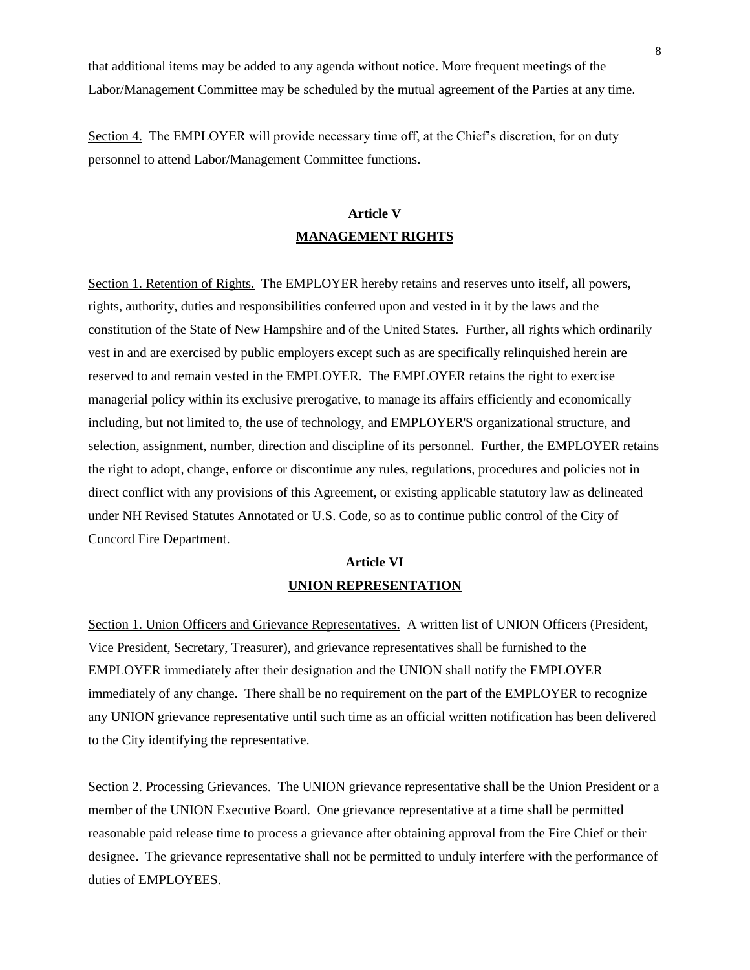that additional items may be added to any agenda without notice. More frequent meetings of the Labor/Management Committee may be scheduled by the mutual agreement of the Parties at any time.

Section 4. The EMPLOYER will provide necessary time off, at the Chief's discretion, for on duty personnel to attend Labor/Management Committee functions.

## **Article V MANAGEMENT RIGHTS**

Section 1. Retention of Rights. The EMPLOYER hereby retains and reserves unto itself, all powers, rights, authority, duties and responsibilities conferred upon and vested in it by the laws and the constitution of the State of New Hampshire and of the United States. Further, all rights which ordinarily vest in and are exercised by public employers except such as are specifically relinquished herein are reserved to and remain vested in the EMPLOYER. The EMPLOYER retains the right to exercise managerial policy within its exclusive prerogative, to manage its affairs efficiently and economically including, but not limited to, the use of technology, and EMPLOYER'S organizational structure, and selection, assignment, number, direction and discipline of its personnel. Further, the EMPLOYER retains the right to adopt, change, enforce or discontinue any rules, regulations, procedures and policies not in direct conflict with any provisions of this Agreement, or existing applicable statutory law as delineated under NH Revised Statutes Annotated or U.S. Code, so as to continue public control of the City of Concord Fire Department.

## **Article VI UNION REPRESENTATION**

Section 1. Union Officers and Grievance Representatives. A written list of UNION Officers (President, Vice President, Secretary, Treasurer), and grievance representatives shall be furnished to the EMPLOYER immediately after their designation and the UNION shall notify the EMPLOYER immediately of any change. There shall be no requirement on the part of the EMPLOYER to recognize any UNION grievance representative until such time as an official written notification has been delivered to the City identifying the representative.

Section 2. Processing Grievances. The UNION grievance representative shall be the Union President or a member of the UNION Executive Board. One grievance representative at a time shall be permitted reasonable paid release time to process a grievance after obtaining approval from the Fire Chief or their designee. The grievance representative shall not be permitted to unduly interfere with the performance of duties of EMPLOYEES.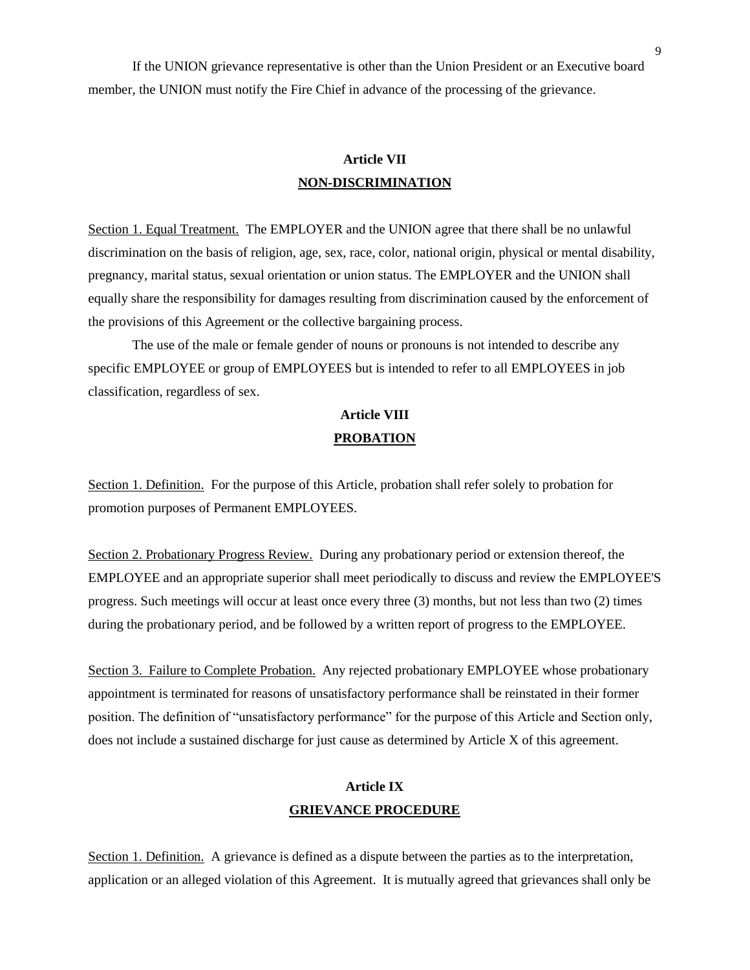If the UNION grievance representative is other than the Union President or an Executive board member, the UNION must notify the Fire Chief in advance of the processing of the grievance.

## **Article VII NON-DISCRIMINATION**

Section 1. Equal Treatment. The EMPLOYER and the UNION agree that there shall be no unlawful discrimination on the basis of religion, age, sex, race, color, national origin, physical or mental disability, pregnancy, marital status, sexual orientation or union status. The EMPLOYER and the UNION shall equally share the responsibility for damages resulting from discrimination caused by the enforcement of the provisions of this Agreement or the collective bargaining process.

The use of the male or female gender of nouns or pronouns is not intended to describe any specific EMPLOYEE or group of EMPLOYEES but is intended to refer to all EMPLOYEES in job classification, regardless of sex.

## **Article VIII PROBATION**

Section 1. Definition. For the purpose of this Article, probation shall refer solely to probation for promotion purposes of Permanent EMPLOYEES.

Section 2. Probationary Progress Review. During any probationary period or extension thereof, the EMPLOYEE and an appropriate superior shall meet periodically to discuss and review the EMPLOYEE'S progress. Such meetings will occur at least once every three (3) months, but not less than two (2) times during the probationary period, and be followed by a written report of progress to the EMPLOYEE.

Section 3. Failure to Complete Probation. Any rejected probationary EMPLOYEE whose probationary appointment is terminated for reasons of unsatisfactory performance shall be reinstated in their former position. The definition of "unsatisfactory performance" for the purpose of this Article and Section only, does not include a sustained discharge for just cause as determined by Article X of this agreement.

## **Article IX GRIEVANCE PROCEDURE**

Section 1. Definition. A grievance is defined as a dispute between the parties as to the interpretation, application or an alleged violation of this Agreement. It is mutually agreed that grievances shall only be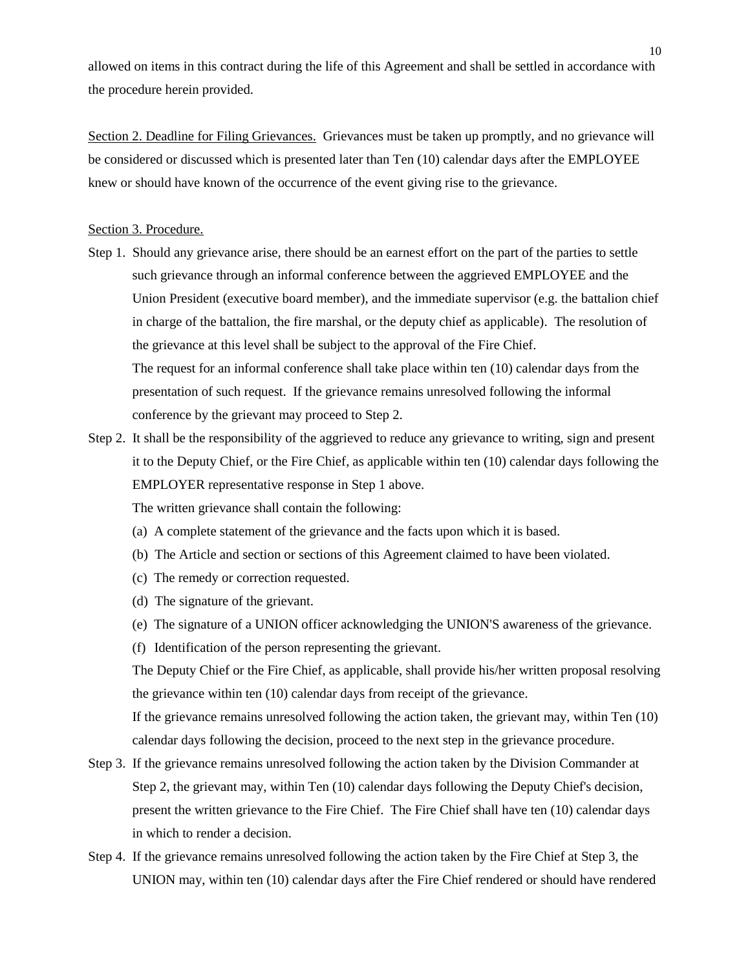allowed on items in this contract during the life of this Agreement and shall be settled in accordance with the procedure herein provided.

Section 2. Deadline for Filing Grievances. Grievances must be taken up promptly, and no grievance will be considered or discussed which is presented later than Ten (10) calendar days after the EMPLOYEE knew or should have known of the occurrence of the event giving rise to the grievance.

#### Section 3. Procedure.

- Step 1. Should any grievance arise, there should be an earnest effort on the part of the parties to settle such grievance through an informal conference between the aggrieved EMPLOYEE and the Union President (executive board member), and the immediate supervisor (e.g. the battalion chief in charge of the battalion, the fire marshal, or the deputy chief as applicable). The resolution of the grievance at this level shall be subject to the approval of the Fire Chief. The request for an informal conference shall take place within ten (10) calendar days from the presentation of such request. If the grievance remains unresolved following the informal conference by the grievant may proceed to Step 2.
- Step 2. It shall be the responsibility of the aggrieved to reduce any grievance to writing, sign and present it to the Deputy Chief, or the Fire Chief, as applicable within ten (10) calendar days following the EMPLOYER representative response in Step 1 above.

The written grievance shall contain the following:

- (a) A complete statement of the grievance and the facts upon which it is based.
- (b) The Article and section or sections of this Agreement claimed to have been violated.
- (c) The remedy or correction requested.
- (d) The signature of the grievant.
- (e) The signature of a UNION officer acknowledging the UNION'S awareness of the grievance.
- (f) Identification of the person representing the grievant.

The Deputy Chief or the Fire Chief, as applicable, shall provide his/her written proposal resolving the grievance within ten (10) calendar days from receipt of the grievance.

If the grievance remains unresolved following the action taken, the grievant may, within Ten (10) calendar days following the decision, proceed to the next step in the grievance procedure.

- Step 3. If the grievance remains unresolved following the action taken by the Division Commander at Step 2, the grievant may, within Ten (10) calendar days following the Deputy Chief's decision, present the written grievance to the Fire Chief. The Fire Chief shall have ten (10) calendar days in which to render a decision.
- Step 4. If the grievance remains unresolved following the action taken by the Fire Chief at Step 3, the UNION may, within ten (10) calendar days after the Fire Chief rendered or should have rendered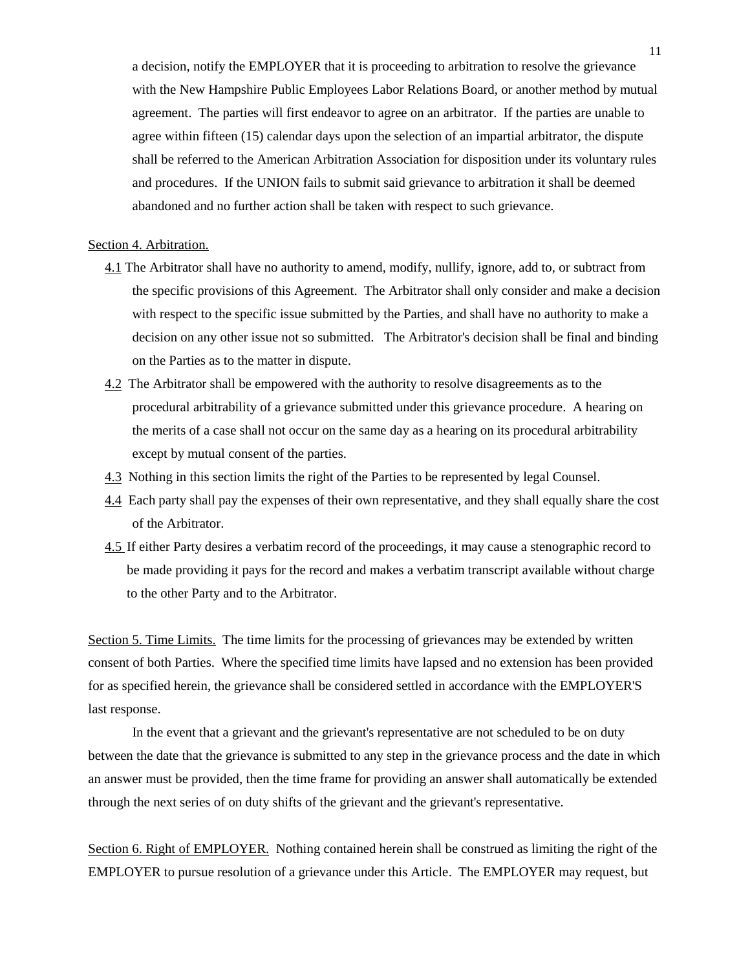a decision, notify the EMPLOYER that it is proceeding to arbitration to resolve the grievance with the New Hampshire Public Employees Labor Relations Board, or another method by mutual agreement. The parties will first endeavor to agree on an arbitrator. If the parties are unable to agree within fifteen (15) calendar days upon the selection of an impartial arbitrator, the dispute shall be referred to the American Arbitration Association for disposition under its voluntary rules and procedures. If the UNION fails to submit said grievance to arbitration it shall be deemed abandoned and no further action shall be taken with respect to such grievance.

### Section 4. Arbitration.

- 4.1 The Arbitrator shall have no authority to amend, modify, nullify, ignore, add to, or subtract from the specific provisions of this Agreement. The Arbitrator shall only consider and make a decision with respect to the specific issue submitted by the Parties, and shall have no authority to make a decision on any other issue not so submitted. The Arbitrator's decision shall be final and binding on the Parties as to the matter in dispute.
- 4.2 The Arbitrator shall be empowered with the authority to resolve disagreements as to the procedural arbitrability of a grievance submitted under this grievance procedure. A hearing on the merits of a case shall not occur on the same day as a hearing on its procedural arbitrability except by mutual consent of the parties.
- 4.3 Nothing in this section limits the right of the Parties to be represented by legal Counsel.
- 4.4 Each party shall pay the expenses of their own representative, and they shall equally share the cost of the Arbitrator.
- 4.5 If either Party desires a verbatim record of the proceedings, it may cause a stenographic record to be made providing it pays for the record and makes a verbatim transcript available without charge to the other Party and to the Arbitrator.

Section 5. Time Limits. The time limits for the processing of grievances may be extended by written consent of both Parties. Where the specified time limits have lapsed and no extension has been provided for as specified herein, the grievance shall be considered settled in accordance with the EMPLOYER'S last response.

In the event that a grievant and the grievant's representative are not scheduled to be on duty between the date that the grievance is submitted to any step in the grievance process and the date in which an answer must be provided, then the time frame for providing an answer shall automatically be extended through the next series of on duty shifts of the grievant and the grievant's representative.

Section 6. Right of EMPLOYER. Nothing contained herein shall be construed as limiting the right of the EMPLOYER to pursue resolution of a grievance under this Article. The EMPLOYER may request, but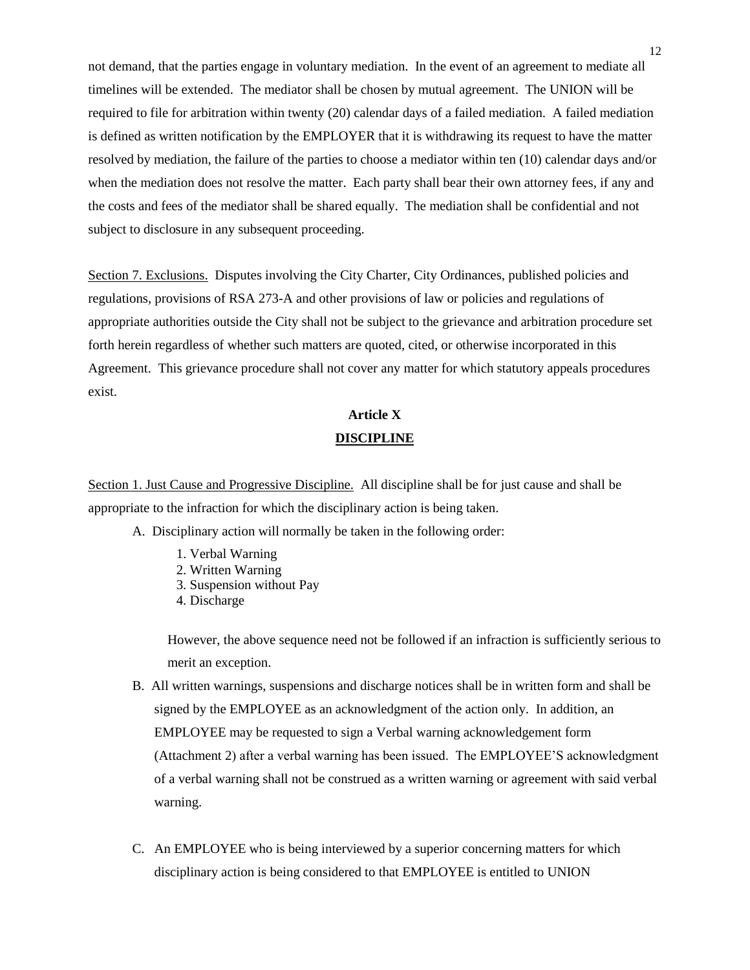not demand, that the parties engage in voluntary mediation. In the event of an agreement to mediate all timelines will be extended. The mediator shall be chosen by mutual agreement. The UNION will be required to file for arbitration within twenty (20) calendar days of a failed mediation. A failed mediation is defined as written notification by the EMPLOYER that it is withdrawing its request to have the matter resolved by mediation, the failure of the parties to choose a mediator within ten (10) calendar days and/or when the mediation does not resolve the matter. Each party shall bear their own attorney fees, if any and the costs and fees of the mediator shall be shared equally. The mediation shall be confidential and not subject to disclosure in any subsequent proceeding.

Section 7. Exclusions. Disputes involving the City Charter, City Ordinances, published policies and regulations, provisions of RSA 273-A and other provisions of law or policies and regulations of appropriate authorities outside the City shall not be subject to the grievance and arbitration procedure set forth herein regardless of whether such matters are quoted, cited, or otherwise incorporated in this Agreement. This grievance procedure shall not cover any matter for which statutory appeals procedures exist.

## **Article X DISCIPLINE**

Section 1. Just Cause and Progressive Discipline. All discipline shall be for just cause and shall be appropriate to the infraction for which the disciplinary action is being taken.

- A. Disciplinary action will normally be taken in the following order:
	- 1. Verbal Warning
	- 2. Written Warning
	- 3. Suspension without Pay
	- 4. Discharge

However, the above sequence need not be followed if an infraction is sufficiently serious to merit an exception.

- B. All written warnings, suspensions and discharge notices shall be in written form and shall be signed by the EMPLOYEE as an acknowledgment of the action only. In addition, an EMPLOYEE may be requested to sign a Verbal warning acknowledgement form (Attachment 2) after a verbal warning has been issued. The EMPLOYEE'S acknowledgment of a verbal warning shall not be construed as a written warning or agreement with said verbal warning.
- C. An EMPLOYEE who is being interviewed by a superior concerning matters for which disciplinary action is being considered to that EMPLOYEE is entitled to UNION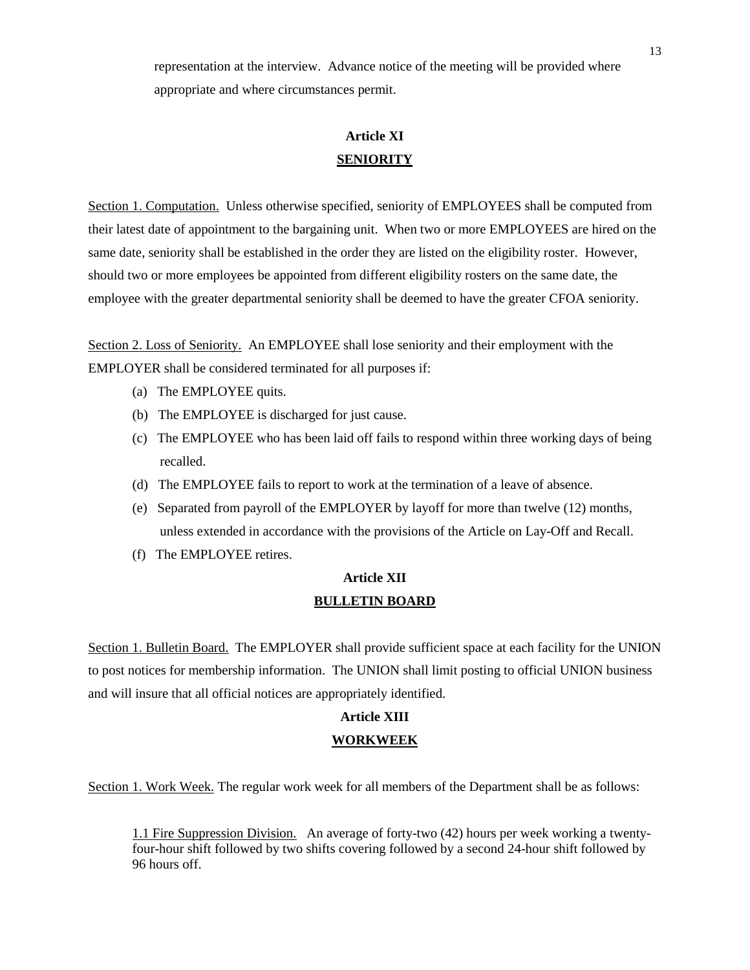representation at the interview. Advance notice of the meeting will be provided where appropriate and where circumstances permit.

# **Article XI SENIORITY**

Section 1. Computation. Unless otherwise specified, seniority of EMPLOYEES shall be computed from their latest date of appointment to the bargaining unit. When two or more EMPLOYEES are hired on the same date, seniority shall be established in the order they are listed on the eligibility roster. However, should two or more employees be appointed from different eligibility rosters on the same date, the employee with the greater departmental seniority shall be deemed to have the greater CFOA seniority.

Section 2. Loss of Seniority. An EMPLOYEE shall lose seniority and their employment with the EMPLOYER shall be considered terminated for all purposes if:

- (a) The EMPLOYEE quits.
- (b) The EMPLOYEE is discharged for just cause.
- (c) The EMPLOYEE who has been laid off fails to respond within three working days of being recalled.
- (d) The EMPLOYEE fails to report to work at the termination of a leave of absence.
- (e) Separated from payroll of the EMPLOYER by layoff for more than twelve (12) months, unless extended in accordance with the provisions of the Article on Lay-Off and Recall.
- (f) The EMPLOYEE retires.

## **Article XII BULLETIN BOARD**

Section 1. Bulletin Board. The EMPLOYER shall provide sufficient space at each facility for the UNION to post notices for membership information. The UNION shall limit posting to official UNION business and will insure that all official notices are appropriately identified.

## **Article XIII WORKWEEK**

Section 1. Work Week. The regular work week for all members of the Department shall be as follows:

1.1 Fire Suppression Division. An average of forty-two (42) hours per week working a twentyfour-hour shift followed by two shifts covering followed by a second 24-hour shift followed by 96 hours off.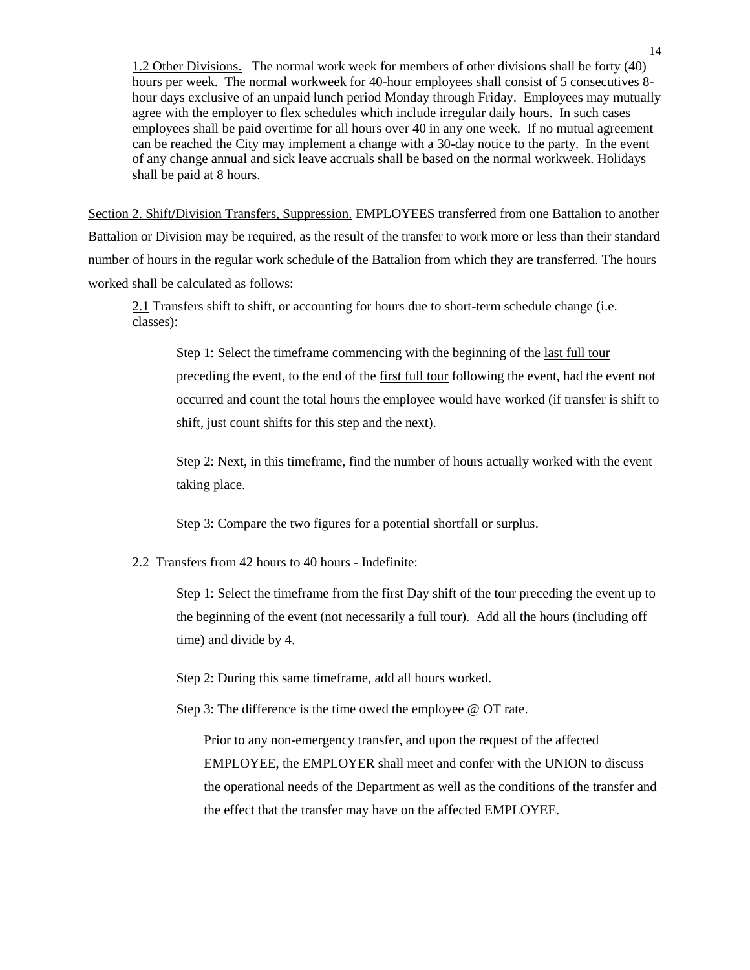1.2 Other Divisions. The normal work week for members of other divisions shall be forty (40) hours per week. The normal workweek for 40-hour employees shall consist of 5 consecutives 8 hour days exclusive of an unpaid lunch period Monday through Friday. Employees may mutually agree with the employer to flex schedules which include irregular daily hours. In such cases employees shall be paid overtime for all hours over 40 in any one week. If no mutual agreement can be reached the City may implement a change with a 30-day notice to the party. In the event of any change annual and sick leave accruals shall be based on the normal workweek. Holidays shall be paid at 8 hours.

Section 2. Shift**/**Division Transfers, Suppression. EMPLOYEES transferred from one Battalion to another Battalion or Division may be required, as the result of the transfer to work more or less than their standard number of hours in the regular work schedule of the Battalion from which they are transferred. The hours worked shall be calculated as follows:

2.1 Transfers shift to shift, or accounting for hours due to short-term schedule change (i.e. classes):

Step 1: Select the timeframe commencing with the beginning of the last full tour preceding the event, to the end of the first full tour following the event, had the event not occurred and count the total hours the employee would have worked (if transfer is shift to shift, just count shifts for this step and the next).

Step 2: Next, in this timeframe, find the number of hours actually worked with the event taking place.

Step 3: Compare the two figures for a potential shortfall or surplus.

2.2 Transfers from 42 hours to 40 hours - Indefinite:

Step 1: Select the timeframe from the first Day shift of the tour preceding the event up to the beginning of the event (not necessarily a full tour). Add all the hours (including off time) and divide by 4.

Step 2: During this same timeframe, add all hours worked.

Step 3: The difference is the time owed the employee @ OT rate.

Prior to any non-emergency transfer, and upon the request of the affected EMPLOYEE, the EMPLOYER shall meet and confer with the UNION to discuss the operational needs of the Department as well as the conditions of the transfer and the effect that the transfer may have on the affected EMPLOYEE.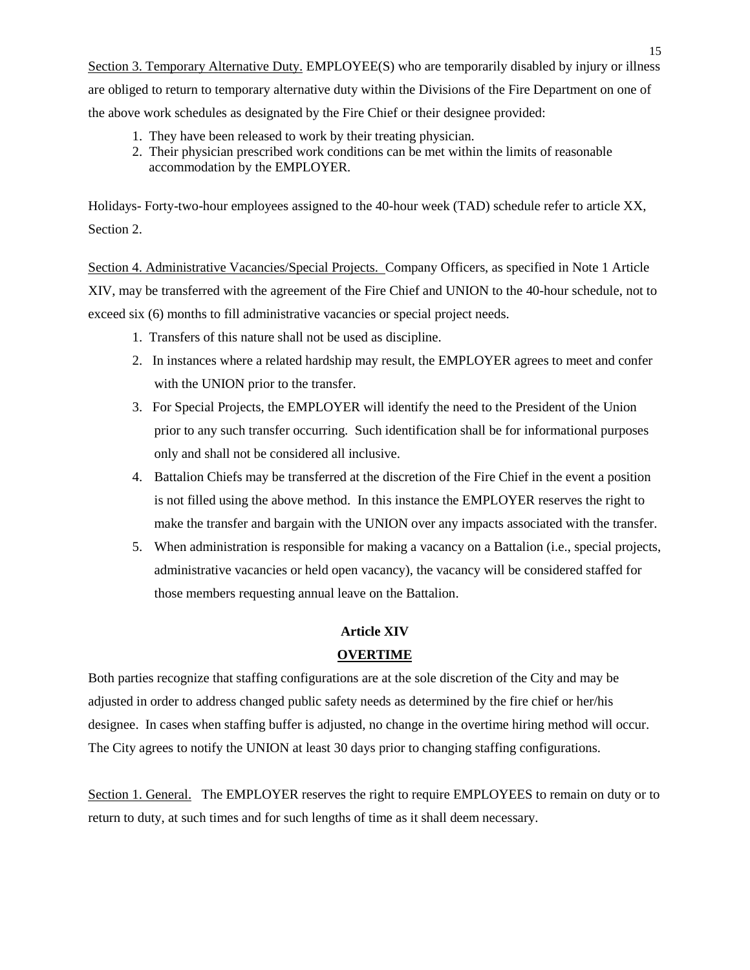Section 3. Temporary Alternative Duty. EMPLOYEE(S) who are temporarily disabled by injury or illness are obliged to return to temporary alternative duty within the Divisions of the Fire Department on one of the above work schedules as designated by the Fire Chief or their designee provided:

- 1. They have been released to work by their treating physician.
- 2. Their physician prescribed work conditions can be met within the limits of reasonable accommodation by the EMPLOYER.

Holidays- Forty-two-hour employees assigned to the 40-hour week (TAD) schedule refer to article XX, Section 2.

Section 4. Administrative Vacancies/Special Projects. Company Officers, as specified in Note 1 Article XIV, may be transferred with the agreement of the Fire Chief and UNION to the 40-hour schedule, not to exceed six (6) months to fill administrative vacancies or special project needs.

- 1. Transfers of this nature shall not be used as discipline.
- 2. In instances where a related hardship may result, the EMPLOYER agrees to meet and confer with the UNION prior to the transfer.
- 3. For Special Projects, the EMPLOYER will identify the need to the President of the Union prior to any such transfer occurring. Such identification shall be for informational purposes only and shall not be considered all inclusive.
- 4. Battalion Chiefs may be transferred at the discretion of the Fire Chief in the event a position is not filled using the above method. In this instance the EMPLOYER reserves the right to make the transfer and bargain with the UNION over any impacts associated with the transfer.
- 5. When administration is responsible for making a vacancy on a Battalion (i.e., special projects, administrative vacancies or held open vacancy), the vacancy will be considered staffed for those members requesting annual leave on the Battalion.

#### **Article XIV**

### **OVERTIME**

Both parties recognize that staffing configurations are at the sole discretion of the City and may be adjusted in order to address changed public safety needs as determined by the fire chief or her/his designee. In cases when staffing buffer is adjusted, no change in the overtime hiring method will occur. The City agrees to notify the UNION at least 30 days prior to changing staffing configurations.

Section 1. General. The EMPLOYER reserves the right to require EMPLOYEES to remain on duty or to return to duty, at such times and for such lengths of time as it shall deem necessary.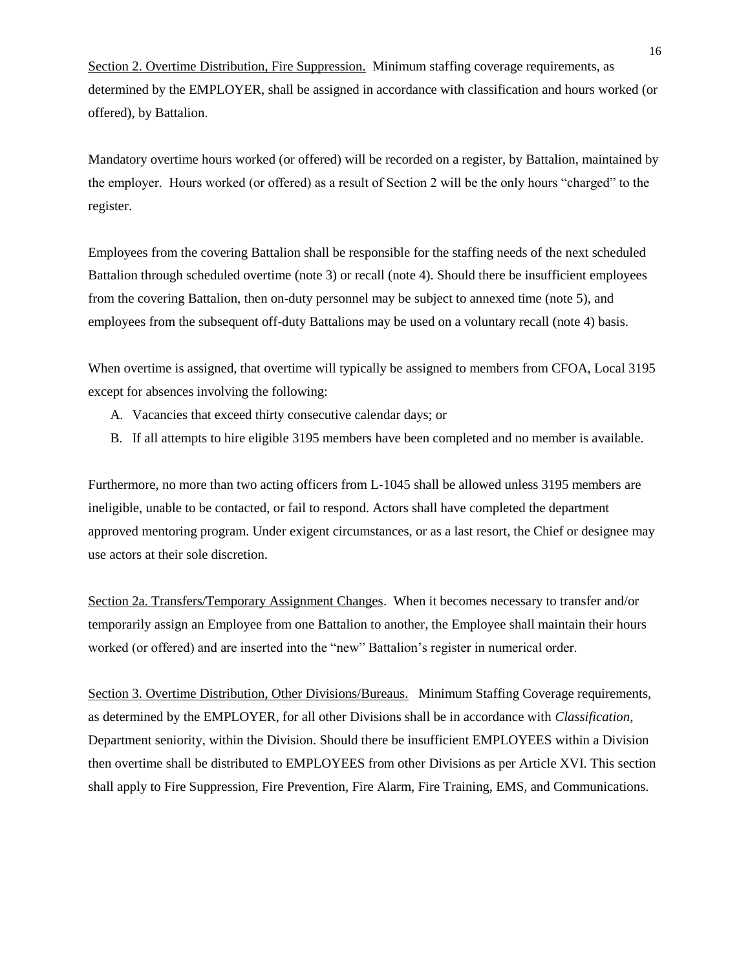Section 2. Overtime Distribution, Fire Suppression. Minimum staffing coverage requirements, as determined by the EMPLOYER, shall be assigned in accordance with classification and hours worked (or offered), by Battalion.

Mandatory overtime hours worked (or offered) will be recorded on a register, by Battalion, maintained by the employer. Hours worked (or offered) as a result of Section 2 will be the only hours "charged" to the register.

Employees from the covering Battalion shall be responsible for the staffing needs of the next scheduled Battalion through scheduled overtime (note 3) or recall (note 4). Should there be insufficient employees from the covering Battalion, then on-duty personnel may be subject to annexed time (note 5), and employees from the subsequent off-duty Battalions may be used on a voluntary recall (note 4) basis.

When overtime is assigned, that overtime will typically be assigned to members from CFOA, Local 3195 except for absences involving the following:

- A. Vacancies that exceed thirty consecutive calendar days; or
- B. If all attempts to hire eligible 3195 members have been completed and no member is available.

Furthermore, no more than two acting officers from L-1045 shall be allowed unless 3195 members are ineligible, unable to be contacted, or fail to respond. Actors shall have completed the department approved mentoring program. Under exigent circumstances, or as a last resort, the Chief or designee may use actors at their sole discretion.

Section 2a. Transfers/Temporary Assignment Changes. When it becomes necessary to transfer and/or temporarily assign an Employee from one Battalion to another, the Employee shall maintain their hours worked (or offered) and are inserted into the "new" Battalion's register in numerical order.

Section 3. Overtime Distribution, Other Divisions/Bureaus. Minimum Staffing Coverage requirements, as determined by the EMPLOYER, for all other Divisions shall be in accordance with *Classification*, Department seniority, within the Division. Should there be insufficient EMPLOYEES within a Division then overtime shall be distributed to EMPLOYEES from other Divisions as per Article XVI. This section shall apply to Fire Suppression, Fire Prevention, Fire Alarm, Fire Training, EMS, and Communications.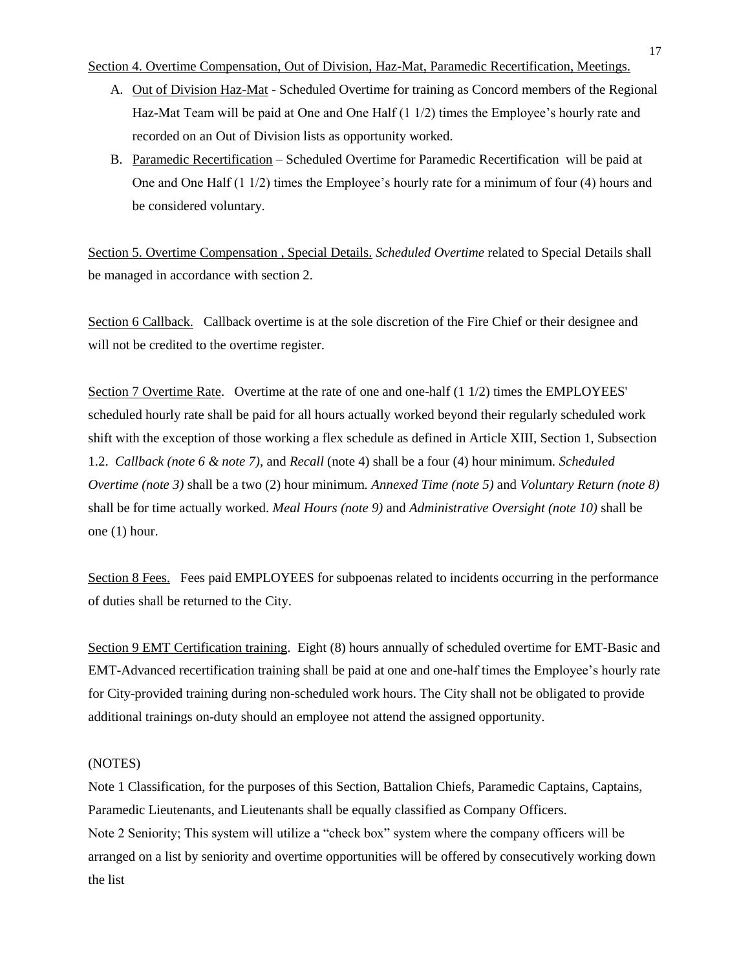#### Section 4. Overtime Compensation, Out of Division, Haz-Mat, Paramedic Recertification, Meetings.

- A. Out of Division Haz-Mat Scheduled Overtime for training as Concord members of the Regional Haz-Mat Team will be paid at One and One Half (1 1/2) times the Employee's hourly rate and recorded on an Out of Division lists as opportunity worked.
- B. Paramedic Recertification Scheduled Overtime for Paramedic Recertification will be paid at One and One Half (1 1/2) times the Employee's hourly rate for a minimum of four (4) hours and be considered voluntary.

Section 5. Overtime Compensation , Special Details. *Scheduled Overtime* related to Special Details shall be managed in accordance with section 2.

Section 6 Callback. Callback overtime is at the sole discretion of the Fire Chief or their designee and will not be credited to the overtime register.

Section 7 Overtime Rate. Overtime at the rate of one and one-half (1 1/2) times the EMPLOYEES' scheduled hourly rate shall be paid for all hours actually worked beyond their regularly scheduled work shift with the exception of those working a flex schedule as defined in Article XIII, Section 1, Subsection 1.2. *Callback (note 6 & note 7)*, and *Recall* (note 4) shall be a four (4) hour minimum. *Scheduled Overtime (note 3)* shall be a two (2) hour minimum. *Annexed Time (note 5)* and *Voluntary Return (note 8)* shall be for time actually worked. *Meal Hours (note 9)* and *Administrative Oversight (note 10)* shall be one (1) hour.

Section 8 Fees. Fees paid EMPLOYEES for subpoenas related to incidents occurring in the performance of duties shall be returned to the City.

Section 9 EMT Certification training. Eight (8) hours annually of scheduled overtime for EMT-Basic and EMT-Advanced recertification training shall be paid at one and one-half times the Employee's hourly rate for City-provided training during non-scheduled work hours. The City shall not be obligated to provide additional trainings on-duty should an employee not attend the assigned opportunity.

### (NOTES)

Note 1 Classification, for the purposes of this Section, Battalion Chiefs, Paramedic Captains, Captains, Paramedic Lieutenants, and Lieutenants shall be equally classified as Company Officers. Note 2 Seniority; This system will utilize a "check box" system where the company officers will be arranged on a list by seniority and overtime opportunities will be offered by consecutively working down the list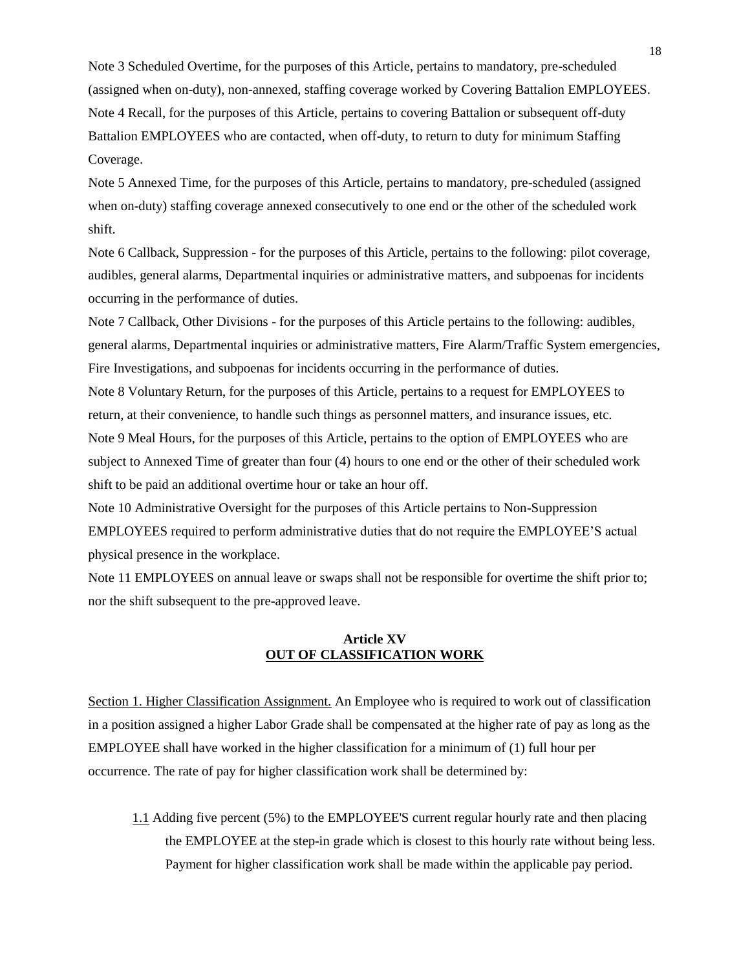Note 3 Scheduled Overtime, for the purposes of this Article, pertains to mandatory, pre-scheduled (assigned when on-duty), non-annexed, staffing coverage worked by Covering Battalion EMPLOYEES. Note 4 Recall, for the purposes of this Article, pertains to covering Battalion or subsequent off-duty Battalion EMPLOYEES who are contacted, when off-duty, to return to duty for minimum Staffing Coverage.

Note 5 Annexed Time, for the purposes of this Article, pertains to mandatory, pre-scheduled (assigned when on-duty) staffing coverage annexed consecutively to one end or the other of the scheduled work shift.

Note 6 Callback, Suppression - for the purposes of this Article, pertains to the following: pilot coverage, audibles, general alarms, Departmental inquiries or administrative matters, and subpoenas for incidents occurring in the performance of duties.

Note 7 Callback, Other Divisions - for the purposes of this Article pertains to the following: audibles, general alarms, Departmental inquiries or administrative matters, Fire Alarm/Traffic System emergencies, Fire Investigations, and subpoenas for incidents occurring in the performance of duties.

Note 8 Voluntary Return, for the purposes of this Article, pertains to a request for EMPLOYEES to return, at their convenience, to handle such things as personnel matters, and insurance issues, etc. Note 9 Meal Hours, for the purposes of this Article, pertains to the option of EMPLOYEES who are subject to Annexed Time of greater than four (4) hours to one end or the other of their scheduled work shift to be paid an additional overtime hour or take an hour off.

Note 10 Administrative Oversight for the purposes of this Article pertains to Non-Suppression EMPLOYEES required to perform administrative duties that do not require the EMPLOYEE'S actual physical presence in the workplace.

Note 11 EMPLOYEES on annual leave or swaps shall not be responsible for overtime the shift prior to; nor the shift subsequent to the pre-approved leave.

### **Article XV OUT OF CLASSIFICATION WORK**

Section 1. Higher Classification Assignment. An Employee who is required to work out of classification in a position assigned a higher Labor Grade shall be compensated at the higher rate of pay as long as the EMPLOYEE shall have worked in the higher classification for a minimum of (1) full hour per occurrence. The rate of pay for higher classification work shall be determined by:

1.1 Adding five percent (5%) to the EMPLOYEE'S current regular hourly rate and then placing the EMPLOYEE at the step-in grade which is closest to this hourly rate without being less. Payment for higher classification work shall be made within the applicable pay period.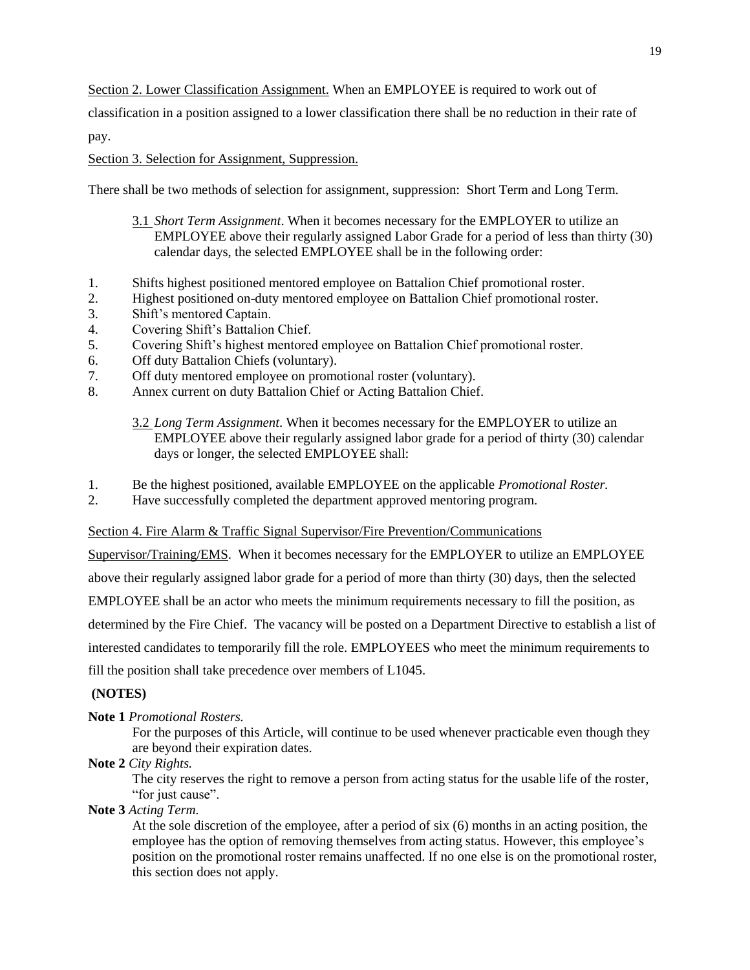Section 2. Lower Classification Assignment. When an EMPLOYEE is required to work out of

classification in a position assigned to a lower classification there shall be no reduction in their rate of

pay.

### Section 3. Selection for Assignment, Suppression.

There shall be two methods of selection for assignment, suppression: Short Term and Long Term.

- 3.1 *Short Term Assignment*. When it becomes necessary for the EMPLOYER to utilize an EMPLOYEE above their regularly assigned Labor Grade for a period of less than thirty (30) calendar days, the selected EMPLOYEE shall be in the following order:
- 1. Shifts highest positioned mentored employee on Battalion Chief promotional roster.
- 2. Highest positioned on-duty mentored employee on Battalion Chief promotional roster.
- 3. Shift's mentored Captain.
- 4. Covering Shift's Battalion Chief.
- 5. Covering Shift's highest mentored employee on Battalion Chief promotional roster.
- 6. Off duty Battalion Chiefs (voluntary).
- 7. Off duty mentored employee on promotional roster (voluntary).
- 8. Annex current on duty Battalion Chief or Acting Battalion Chief.

3.2 *Long Term Assignment*. When it becomes necessary for the EMPLOYER to utilize an EMPLOYEE above their regularly assigned labor grade for a period of thirty (30) calendar days or longer, the selected EMPLOYEE shall:

- 1. Be the highest positioned, available EMPLOYEE on the applicable *Promotional Roster.*
- 2. Have successfully completed the department approved mentoring program.

### Section 4. Fire Alarm & Traffic Signal Supervisor/Fire Prevention/Communications

Supervisor/Training/EMS. When it becomes necessary for the EMPLOYER to utilize an EMPLOYEE

above their regularly assigned labor grade for a period of more than thirty (30) days, then the selected

EMPLOYEE shall be an actor who meets the minimum requirements necessary to fill the position, as

determined by the Fire Chief. The vacancy will be posted on a Department Directive to establish a list of

interested candidates to temporarily fill the role. EMPLOYEES who meet the minimum requirements to

fill the position shall take precedence over members of L1045.

### **(NOTES)**

### **Note 1** *Promotional Rosters.*

For the purposes of this Article, will continue to be used whenever practicable even though they are beyond their expiration dates.

**Note 2** *City Rights.*

The city reserves the right to remove a person from acting status for the usable life of the roster, "for just cause".

### **Note 3** *Acting Term.*

At the sole discretion of the employee, after a period of six (6) months in an acting position, the employee has the option of removing themselves from acting status. However, this employee's position on the promotional roster remains unaffected. If no one else is on the promotional roster, this section does not apply.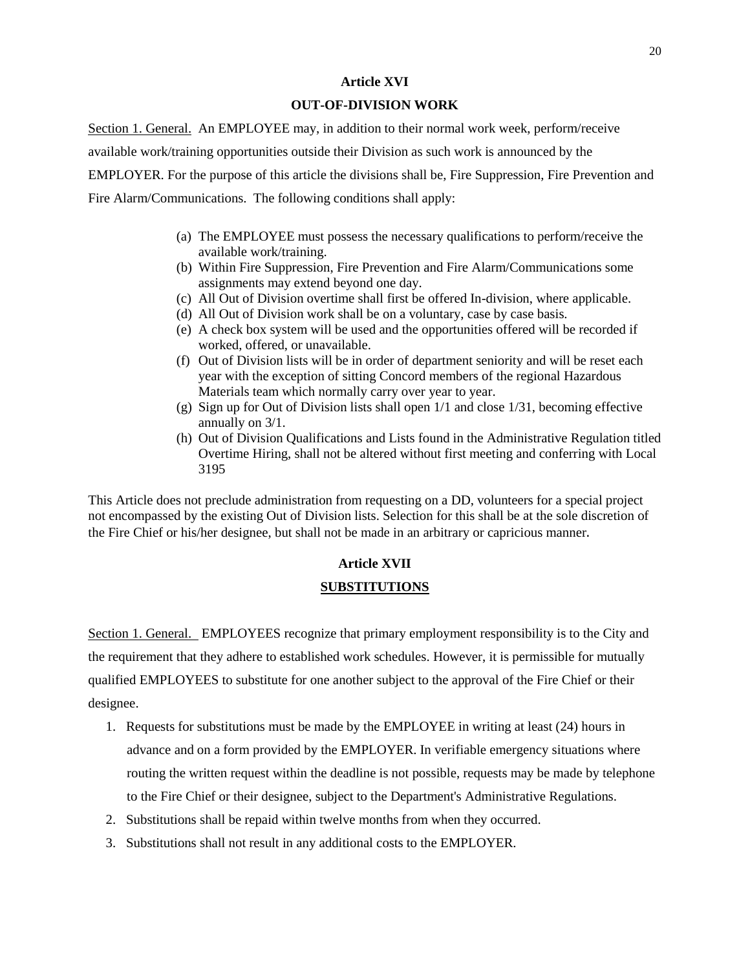#### **Article XVI**

### **OUT-OF-DIVISION WORK**

Section 1. General. An EMPLOYEE may, in addition to their normal work week, perform/receive available work/training opportunities outside their Division as such work is announced by the EMPLOYER. For the purpose of this article the divisions shall be, Fire Suppression, Fire Prevention and Fire Alarm/Communications. The following conditions shall apply:

- (a) The EMPLOYEE must possess the necessary qualifications to perform/receive the available work/training.
- (b) Within Fire Suppression, Fire Prevention and Fire Alarm/Communications some assignments may extend beyond one day.
- (c) All Out of Division overtime shall first be offered In-division, where applicable.
- (d) All Out of Division work shall be on a voluntary, case by case basis.
- (e) A check box system will be used and the opportunities offered will be recorded if worked, offered, or unavailable.
- (f) Out of Division lists will be in order of department seniority and will be reset each year with the exception of sitting Concord members of the regional Hazardous Materials team which normally carry over year to year.
- (g) Sign up for Out of Division lists shall open  $1/1$  and close  $1/31$ , becoming effective annually on 3/1.
- (h) Out of Division Qualifications and Lists found in the Administrative Regulation titled Overtime Hiring, shall not be altered without first meeting and conferring with Local 3195

This Article does not preclude administration from requesting on a DD, volunteers for a special project not encompassed by the existing Out of Division lists. Selection for this shall be at the sole discretion of the Fire Chief or his/her designee, but shall not be made in an arbitrary or capricious manner.

## **Article XVII SUBSTITUTIONS**

Section 1. General. EMPLOYEES recognize that primary employment responsibility is to the City and the requirement that they adhere to established work schedules. However, it is permissible for mutually qualified EMPLOYEES to substitute for one another subject to the approval of the Fire Chief or their designee.

- 1. Requests for substitutions must be made by the EMPLOYEE in writing at least (24) hours in advance and on a form provided by the EMPLOYER. In verifiable emergency situations where routing the written request within the deadline is not possible, requests may be made by telephone to the Fire Chief or their designee, subject to the Department's Administrative Regulations.
- 2. Substitutions shall be repaid within twelve months from when they occurred.
- 3. Substitutions shall not result in any additional costs to the EMPLOYER.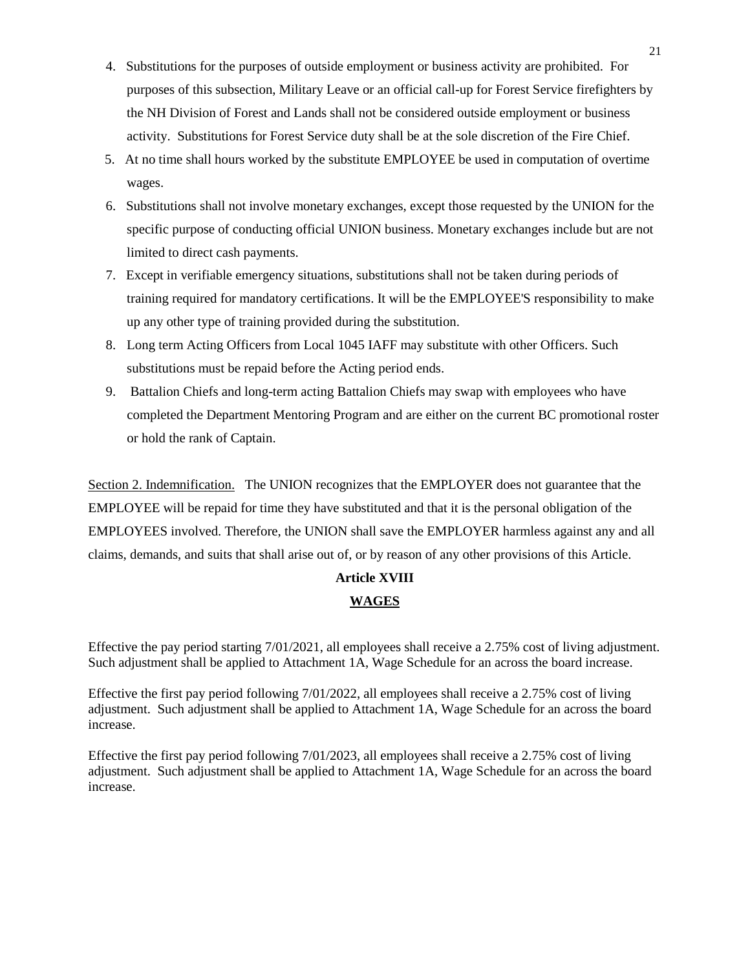- 4. Substitutions for the purposes of outside employment or business activity are prohibited. For purposes of this subsection, Military Leave or an official call-up for Forest Service firefighters by the NH Division of Forest and Lands shall not be considered outside employment or business activity. Substitutions for Forest Service duty shall be at the sole discretion of the Fire Chief.
- 5. At no time shall hours worked by the substitute EMPLOYEE be used in computation of overtime wages.
- 6. Substitutions shall not involve monetary exchanges, except those requested by the UNION for the specific purpose of conducting official UNION business. Monetary exchanges include but are not limited to direct cash payments.
- 7. Except in verifiable emergency situations, substitutions shall not be taken during periods of training required for mandatory certifications. It will be the EMPLOYEE'S responsibility to make up any other type of training provided during the substitution.
- 8. Long term Acting Officers from Local 1045 IAFF may substitute with other Officers. Such substitutions must be repaid before the Acting period ends.
- 9. Battalion Chiefs and long-term acting Battalion Chiefs may swap with employees who have completed the Department Mentoring Program and are either on the current BC promotional roster or hold the rank of Captain.

Section 2. Indemnification. The UNION recognizes that the EMPLOYER does not guarantee that the EMPLOYEE will be repaid for time they have substituted and that it is the personal obligation of the EMPLOYEES involved. Therefore, the UNION shall save the EMPLOYER harmless against any and all claims, demands, and suits that shall arise out of, or by reason of any other provisions of this Article.

## **Article XVIII WAGES**

Effective the pay period starting 7/01/2021, all employees shall receive a 2.75% cost of living adjustment. Such adjustment shall be applied to Attachment 1A, Wage Schedule for an across the board increase.

Effective the first pay period following 7/01/2022, all employees shall receive a 2.75% cost of living adjustment. Such adjustment shall be applied to Attachment 1A, Wage Schedule for an across the board increase.

Effective the first pay period following 7/01/2023, all employees shall receive a 2.75% cost of living adjustment. Such adjustment shall be applied to Attachment 1A, Wage Schedule for an across the board increase.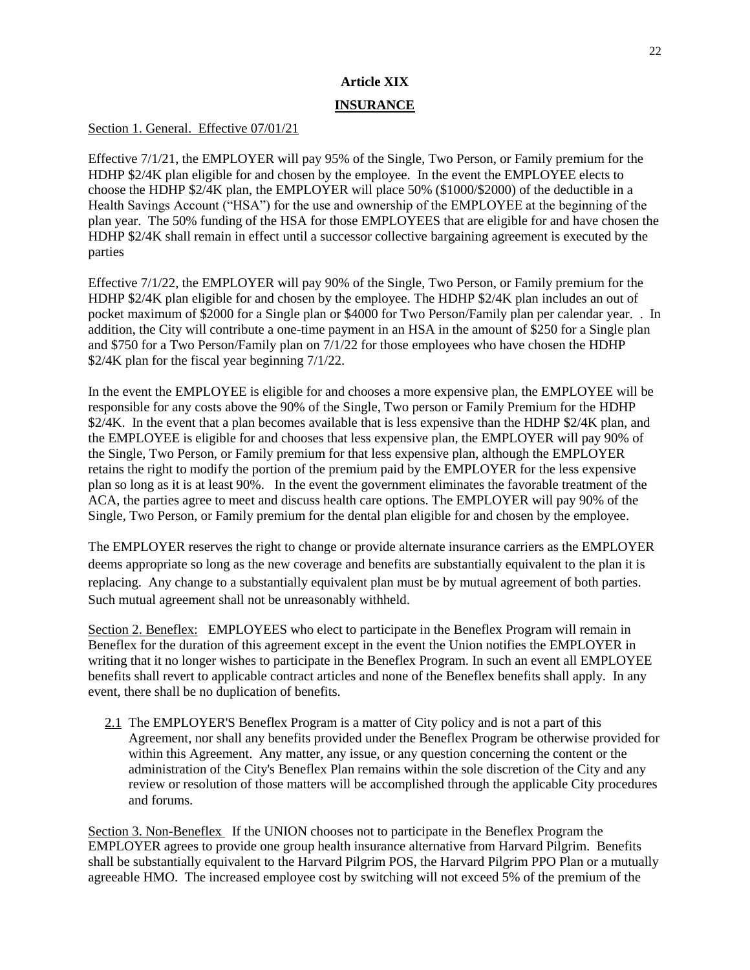## **Article XIX INSURANCE**

### Section 1. General. Effective 07/01/21

Effective 7/1/21, the EMPLOYER will pay 95% of the Single, Two Person, or Family premium for the HDHP \$2/4K plan eligible for and chosen by the employee. In the event the EMPLOYEE elects to choose the HDHP \$2/4K plan, the EMPLOYER will place 50% (\$1000/\$2000) of the deductible in a Health Savings Account ("HSA") for the use and ownership of the EMPLOYEE at the beginning of the plan year. The 50% funding of the HSA for those EMPLOYEES that are eligible for and have chosen the HDHP \$2/4K shall remain in effect until a successor collective bargaining agreement is executed by the parties

Effective 7/1/22, the EMPLOYER will pay 90% of the Single, Two Person, or Family premium for the HDHP \$2/4K plan eligible for and chosen by the employee. The HDHP \$2/4K plan includes an out of pocket maximum of \$2000 for a Single plan or \$4000 for Two Person/Family plan per calendar year. . In addition, the City will contribute a one-time payment in an HSA in the amount of \$250 for a Single plan and \$750 for a Two Person/Family plan on 7/1/22 for those employees who have chosen the HDHP \$2/4K plan for the fiscal year beginning 7/1/22.

In the event the EMPLOYEE is eligible for and chooses a more expensive plan, the EMPLOYEE will be responsible for any costs above the 90% of the Single, Two person or Family Premium for the HDHP \$2/4K. In the event that a plan becomes available that is less expensive than the HDHP \$2/4K plan, and the EMPLOYEE is eligible for and chooses that less expensive plan, the EMPLOYER will pay 90% of the Single, Two Person, or Family premium for that less expensive plan, although the EMPLOYER retains the right to modify the portion of the premium paid by the EMPLOYER for the less expensive plan so long as it is at least 90%. In the event the government eliminates the favorable treatment of the ACA, the parties agree to meet and discuss health care options. The EMPLOYER will pay 90% of the Single, Two Person, or Family premium for the dental plan eligible for and chosen by the employee.

The EMPLOYER reserves the right to change or provide alternate insurance carriers as the EMPLOYER deems appropriate so long as the new coverage and benefits are substantially equivalent to the plan it is replacing. Any change to a substantially equivalent plan must be by mutual agreement of both parties. Such mutual agreement shall not be unreasonably withheld.

Section 2. Beneflex: EMPLOYEES who elect to participate in the Beneflex Program will remain in Beneflex for the duration of this agreement except in the event the Union notifies the EMPLOYER in writing that it no longer wishes to participate in the Beneflex Program. In such an event all EMPLOYEE benefits shall revert to applicable contract articles and none of the Beneflex benefits shall apply. In any event, there shall be no duplication of benefits.

2.1 The EMPLOYER'S Beneflex Program is a matter of City policy and is not a part of this Agreement, nor shall any benefits provided under the Beneflex Program be otherwise provided for within this Agreement. Any matter, any issue, or any question concerning the content or the administration of the City's Beneflex Plan remains within the sole discretion of the City and any review or resolution of those matters will be accomplished through the applicable City procedures and forums.

Section 3. Non-Beneflex If the UNION chooses not to participate in the Beneflex Program the EMPLOYER agrees to provide one group health insurance alternative from Harvard Pilgrim. Benefits shall be substantially equivalent to the Harvard Pilgrim POS, the Harvard Pilgrim PPO Plan or a mutually agreeable HMO. The increased employee cost by switching will not exceed 5% of the premium of the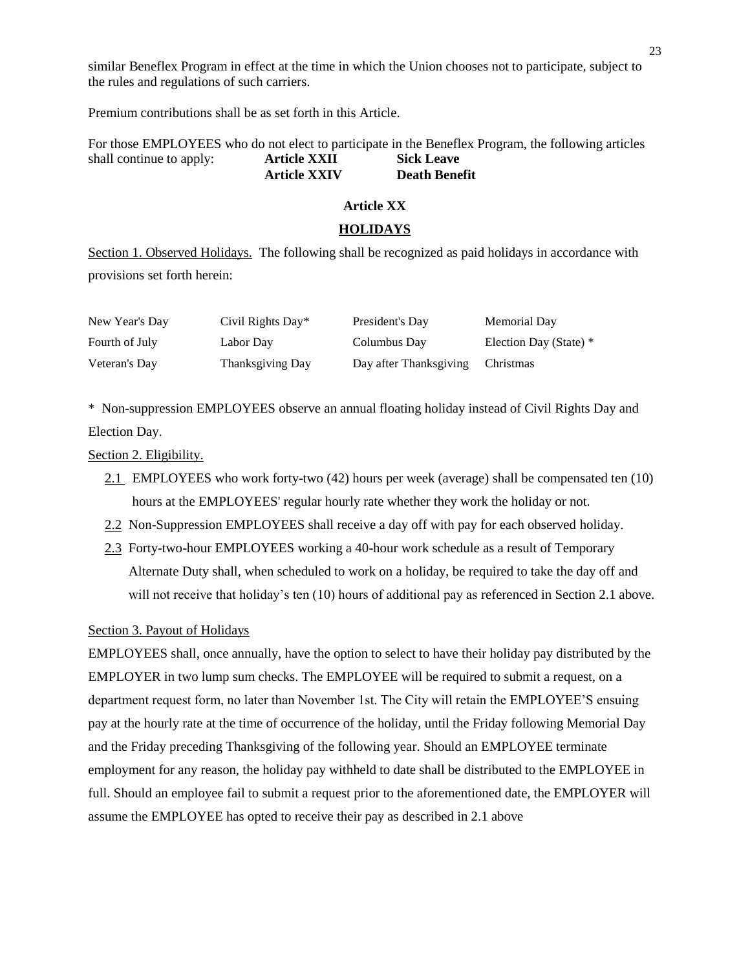similar Beneflex Program in effect at the time in which the Union chooses not to participate, subject to the rules and regulations of such carriers.

Premium contributions shall be as set forth in this Article.

For those EMPLOYEES who do not elect to participate in the Beneflex Program, the following articles shall continue to apply: **Article XXII Sick Leave Article XXIV Death Benefit**

#### **Article XX**

#### **HOLIDAYS**

Section 1. Observed Holidays. The following shall be recognized as paid holidays in accordance with provisions set forth herein:

| New Year's Day | Civil Rights Day* | President's Day        | Memorial Day           |
|----------------|-------------------|------------------------|------------------------|
| Fourth of July | Labor Day         | Columbus Day           | Election Day (State) * |
| Veteran's Day  | Thanksgiving Day  | Day after Thanksgiving | Christmas              |

\* Non-suppression EMPLOYEES observe an annual floating holiday instead of Civil Rights Day and Election Day.

Section 2. Eligibility.

- 2.1 EMPLOYEES who work forty-two (42) hours per week (average) shall be compensated ten (10) hours at the EMPLOYEES' regular hourly rate whether they work the holiday or not.
- 2.2 Non-Suppression EMPLOYEES shall receive a day off with pay for each observed holiday.
- 2.3 Forty-two-hour EMPLOYEES working a 40-hour work schedule as a result of Temporary Alternate Duty shall, when scheduled to work on a holiday, be required to take the day off and will not receive that holiday's ten (10) hours of additional pay as referenced in Section 2.1 above.

#### Section 3. Payout of Holidays

EMPLOYEES shall, once annually, have the option to select to have their holiday pay distributed by the EMPLOYER in two lump sum checks. The EMPLOYEE will be required to submit a request, on a department request form, no later than November 1st. The City will retain the EMPLOYEE'S ensuing pay at the hourly rate at the time of occurrence of the holiday, until the Friday following Memorial Day and the Friday preceding Thanksgiving of the following year. Should an EMPLOYEE terminate employment for any reason, the holiday pay withheld to date shall be distributed to the EMPLOYEE in full. Should an employee fail to submit a request prior to the aforementioned date, the EMPLOYER will assume the EMPLOYEE has opted to receive their pay as described in 2.1 above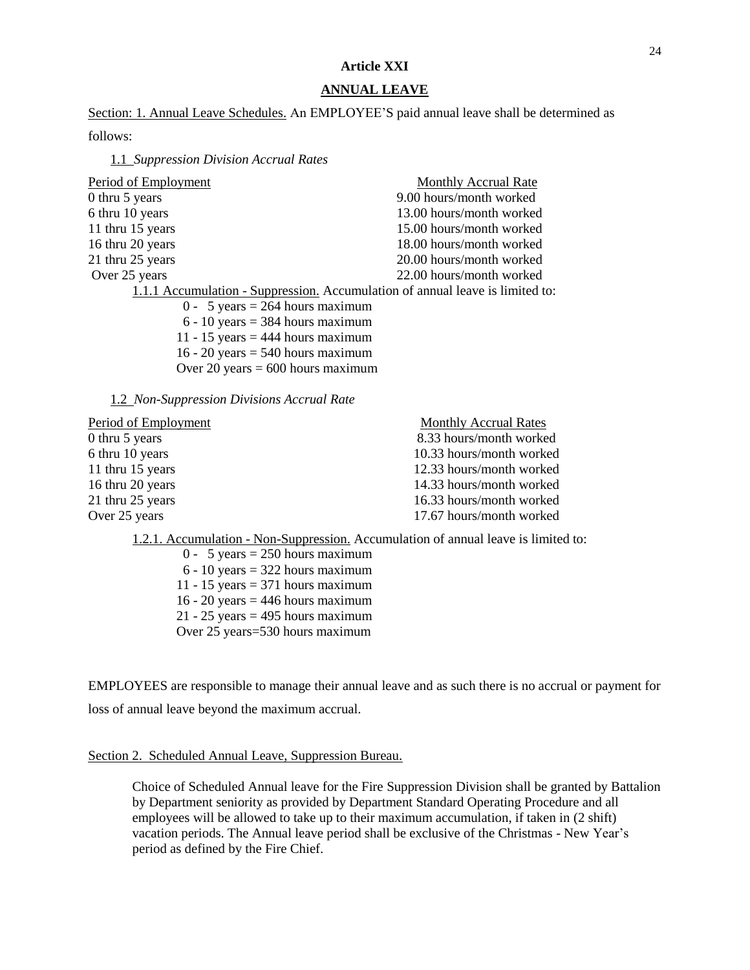### **Article XXI**

### **ANNUAL LEAVE**

Section: 1. Annual Leave Schedules. An EMPLOYEE'S paid annual leave shall be determined as

follows:

1.1 *Suppression Division Accrual Rates*

| Period of Employment                                                          | <b>Monthly Accrual Rate</b> |
|-------------------------------------------------------------------------------|-----------------------------|
| 0 thru 5 years                                                                | 9.00 hours/month worked     |
| 6 thru 10 years                                                               | 13.00 hours/month worked    |
| 11 thru 15 years                                                              | 15.00 hours/month worked    |
| 16 thru 20 years                                                              | 18.00 hours/month worked    |
| 21 thru 25 years                                                              | 20.00 hours/month worked    |
| Over 25 years                                                                 | 22.00 hours/month worked    |
| 1.1.1 Accumulation - Suppression. Accumulation of annual leave is limited to: |                             |
| $0 - 5$ years = 264 hours maximum                                             |                             |
| $6 - 10$ years = 384 hours maximum                                            |                             |
| 11 - 15 years = 444 hours maximum                                             |                             |
| 16 - 20 years = $540$ hours maximum                                           |                             |
| Over 20 years = $600$ hours maximum                                           |                             |
|                                                                               |                             |

1.2 *Non-Suppression Divisions Accrual Rate*

| Period of Employment | <b>Monthly Accrual Rates</b> |
|----------------------|------------------------------|
| 0 thru 5 years       | 8.33 hours/month worked      |
| 6 thru 10 years      | 10.33 hours/month worked     |
| 11 thru 15 years     | 12.33 hours/month worked     |
| 16 thru 20 years     | 14.33 hours/month worked     |
| 21 thru 25 years     | 16.33 hours/month worked     |
| Over 25 years        | 17.67 hours/month worked     |
|                      |                              |

1.2.1. Accumulation - Non-Suppression. Accumulation of annual leave is limited to:

 $0 - 5$  years = 250 hours maximum  $6 - 10$  years = 322 hours maximum 11 - 15 years  $= 371$  hours maximum 16 - 20 years  $=$  446 hours maximum  $21 - 25$  years = 495 hours maximum Over 25 years=530 hours maximum

EMPLOYEES are responsible to manage their annual leave and as such there is no accrual or payment for loss of annual leave beyond the maximum accrual.

### Section 2. Scheduled Annual Leave, Suppression Bureau.

Choice of Scheduled Annual leave for the Fire Suppression Division shall be granted by Battalion by Department seniority as provided by Department Standard Operating Procedure and all employees will be allowed to take up to their maximum accumulation, if taken in (2 shift) vacation periods. The Annual leave period shall be exclusive of the Christmas - New Year's period as defined by the Fire Chief.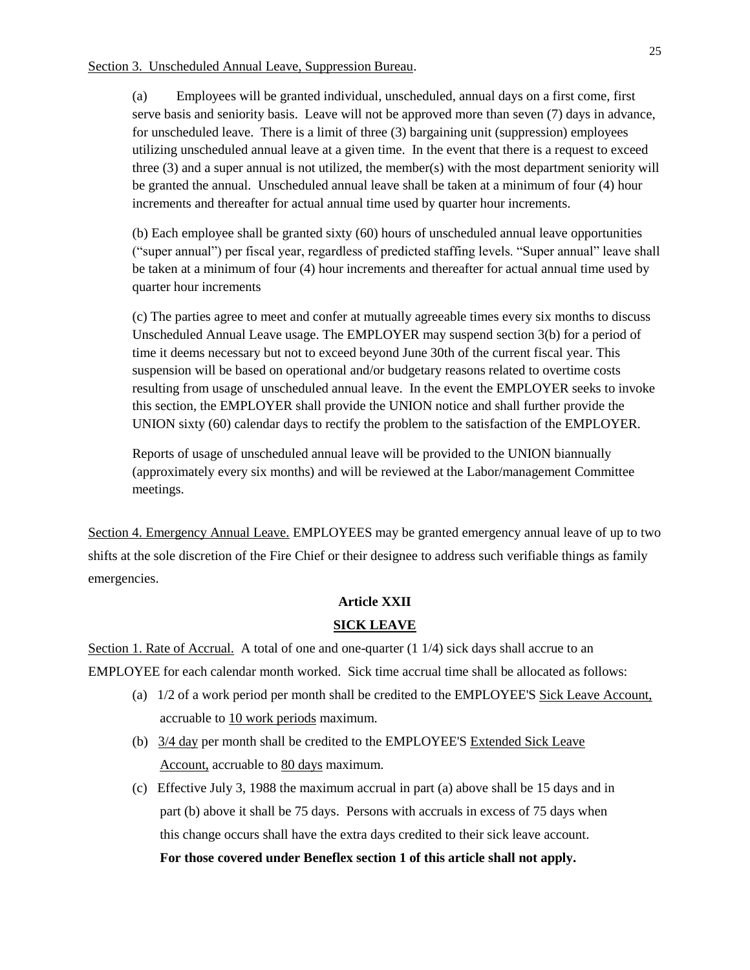(a) Employees will be granted individual, unscheduled, annual days on a first come, first serve basis and seniority basis. Leave will not be approved more than seven (7) days in advance, for unscheduled leave. There is a limit of three (3) bargaining unit (suppression) employees utilizing unscheduled annual leave at a given time. In the event that there is a request to exceed three (3) and a super annual is not utilized, the member(s) with the most department seniority will be granted the annual. Unscheduled annual leave shall be taken at a minimum of four (4) hour increments and thereafter for actual annual time used by quarter hour increments.

(b) Each employee shall be granted sixty (60) hours of unscheduled annual leave opportunities ("super annual") per fiscal year, regardless of predicted staffing levels. "Super annual" leave shall be taken at a minimum of four (4) hour increments and thereafter for actual annual time used by quarter hour increments

(c) The parties agree to meet and confer at mutually agreeable times every six months to discuss Unscheduled Annual Leave usage. The EMPLOYER may suspend section 3(b) for a period of time it deems necessary but not to exceed beyond June 30th of the current fiscal year. This suspension will be based on operational and/or budgetary reasons related to overtime costs resulting from usage of unscheduled annual leave. In the event the EMPLOYER seeks to invoke this section, the EMPLOYER shall provide the UNION notice and shall further provide the UNION sixty (60) calendar days to rectify the problem to the satisfaction of the EMPLOYER.

Reports of usage of unscheduled annual leave will be provided to the UNION biannually (approximately every six months) and will be reviewed at the Labor/management Committee meetings.

Section 4. Emergency Annual Leave. EMPLOYEES may be granted emergency annual leave of up to two shifts at the sole discretion of the Fire Chief or their designee to address such verifiable things as family emergencies.

### **Article XXII**

### **SICK LEAVE**

Section 1. Rate of Accrual. A total of one and one-quarter (1 1/4) sick days shall accrue to an EMPLOYEE for each calendar month worked. Sick time accrual time shall be allocated as follows:

- (a) 1/2 of a work period per month shall be credited to the EMPLOYEE'S Sick Leave Account, accruable to 10 work periods maximum.
- (b)  $3/4$  day per month shall be credited to the EMPLOYEE'S Extended Sick Leave Account, accruable to 80 days maximum.
- (c) Effective July 3, 1988 the maximum accrual in part (a) above shall be 15 days and in part (b) above it shall be 75 days. Persons with accruals in excess of 75 days when this change occurs shall have the extra days credited to their sick leave account. **For those covered under Beneflex section 1 of this article shall not apply.**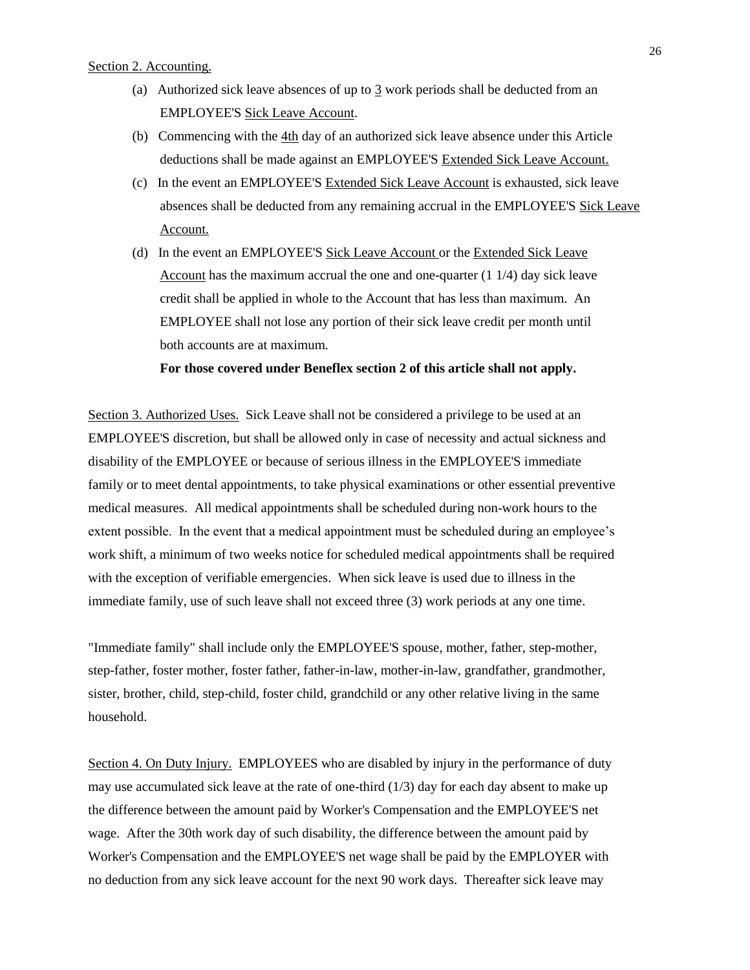#### Section 2. Accounting.

- (a) Authorized sick leave absences of up to 3 work periods shall be deducted from an EMPLOYEE'S Sick Leave Account.
- (b) Commencing with the 4th day of an authorized sick leave absence under this Article deductions shall be made against an EMPLOYEE'S Extended Sick Leave Account.
- (c) In the event an EMPLOYEE'S Extended Sick Leave Account is exhausted, sick leave absences shall be deducted from any remaining accrual in the EMPLOYEE'S Sick Leave Account.
- (d) In the event an EMPLOYEE'S Sick Leave Account or the Extended Sick Leave Account has the maximum accrual the one and one-quarter (1 1/4) day sick leave credit shall be applied in whole to the Account that has less than maximum. An EMPLOYEE shall not lose any portion of their sick leave credit per month until both accounts are at maximum.

**For those covered under Beneflex section 2 of this article shall not apply.**

Section 3. Authorized Uses. Sick Leave shall not be considered a privilege to be used at an EMPLOYEE'S discretion, but shall be allowed only in case of necessity and actual sickness and disability of the EMPLOYEE or because of serious illness in the EMPLOYEE'S immediate family or to meet dental appointments, to take physical examinations or other essential preventive medical measures. All medical appointments shall be scheduled during non-work hours to the extent possible. In the event that a medical appointment must be scheduled during an employee's work shift, a minimum of two weeks notice for scheduled medical appointments shall be required with the exception of verifiable emergencies. When sick leave is used due to illness in the immediate family, use of such leave shall not exceed three (3) work periods at any one time.

"Immediate family" shall include only the EMPLOYEE'S spouse, mother, father, step-mother, step-father, foster mother, foster father, father-in-law, mother-in-law, grandfather, grandmother, sister, brother, child, step-child, foster child, grandchild or any other relative living in the same household.

Section 4. On Duty Injury. EMPLOYEES who are disabled by injury in the performance of duty may use accumulated sick leave at the rate of one-third (1/3) day for each day absent to make up the difference between the amount paid by Worker's Compensation and the EMPLOYEE'S net wage. After the 30th work day of such disability, the difference between the amount paid by Worker's Compensation and the EMPLOYEE'S net wage shall be paid by the EMPLOYER with no deduction from any sick leave account for the next 90 work days. Thereafter sick leave may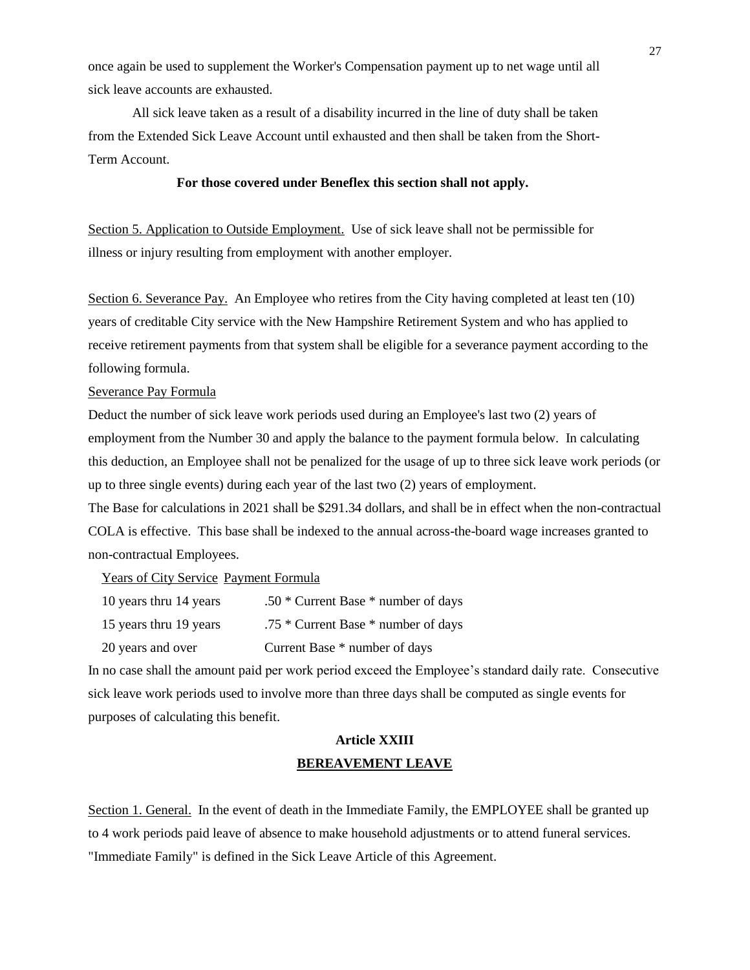once again be used to supplement the Worker's Compensation payment up to net wage until all sick leave accounts are exhausted.

All sick leave taken as a result of a disability incurred in the line of duty shall be taken from the Extended Sick Leave Account until exhausted and then shall be taken from the Short-Term Account.

### **For those covered under Beneflex this section shall not apply.**

Section 5. Application to Outside Employment. Use of sick leave shall not be permissible for illness or injury resulting from employment with another employer.

Section 6. Severance Pay. An Employee who retires from the City having completed at least ten (10) years of creditable City service with the New Hampshire Retirement System and who has applied to receive retirement payments from that system shall be eligible for a severance payment according to the following formula.

#### Severance Pay Formula

Deduct the number of sick leave work periods used during an Employee's last two (2) years of employment from the Number 30 and apply the balance to the payment formula below. In calculating this deduction, an Employee shall not be penalized for the usage of up to three sick leave work periods (or up to three single events) during each year of the last two (2) years of employment.

The Base for calculations in 2021 shall be \$291.34 dollars, and shall be in effect when the non-contractual COLA is effective. This base shall be indexed to the annual across-the-board wage increases granted to non-contractual Employees.

Years of City Service Payment Formula

| 10 years thru 14 years | $.50 *$ Current Base $*$ number of days |
|------------------------|-----------------------------------------|
|------------------------|-----------------------------------------|

15 years thru 19 years .75 \* Current Base \* number of days

20 years and over Current Base \* number of days

In no case shall the amount paid per work period exceed the Employee's standard daily rate. Consecutive sick leave work periods used to involve more than three days shall be computed as single events for purposes of calculating this benefit.

# **Article XXIII BEREAVEMENT LEAVE**

Section 1. General. In the event of death in the Immediate Family, the EMPLOYEE shall be granted up to 4 work periods paid leave of absence to make household adjustments or to attend funeral services. "Immediate Family" is defined in the Sick Leave Article of this Agreement.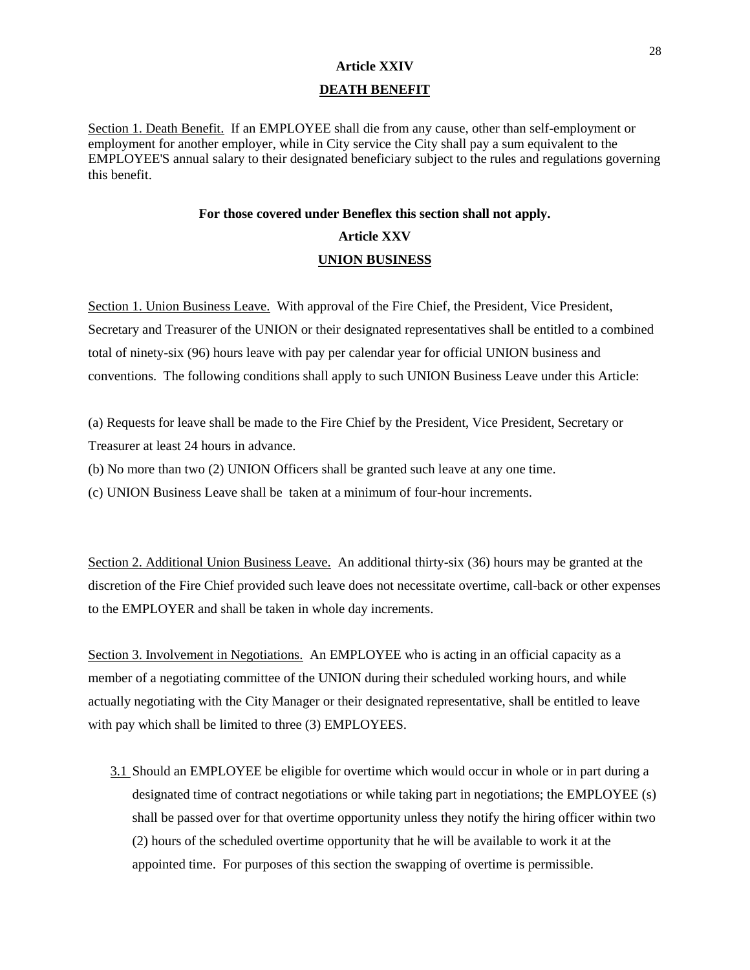## **Article XXIV DEATH BENEFIT**

Section 1. Death Benefit. If an EMPLOYEE shall die from any cause, other than self-employment or employment for another employer, while in City service the City shall pay a sum equivalent to the EMPLOYEE'S annual salary to their designated beneficiary subject to the rules and regulations governing this benefit.

#### **For those covered under Beneflex this section shall not apply.**

# **Article XXV UNION BUSINESS**

Section 1. Union Business Leave. With approval of the Fire Chief, the President, Vice President, Secretary and Treasurer of the UNION or their designated representatives shall be entitled to a combined total of ninety-six (96) hours leave with pay per calendar year for official UNION business and conventions. The following conditions shall apply to such UNION Business Leave under this Article:

(a) Requests for leave shall be made to the Fire Chief by the President, Vice President, Secretary or Treasurer at least 24 hours in advance.

(b) No more than two (2) UNION Officers shall be granted such leave at any one time.

(c) UNION Business Leave shall be taken at a minimum of four-hour increments.

Section 2. Additional Union Business Leave. An additional thirty-six (36) hours may be granted at the discretion of the Fire Chief provided such leave does not necessitate overtime, call-back or other expenses to the EMPLOYER and shall be taken in whole day increments.

Section 3. Involvement in Negotiations. An EMPLOYEE who is acting in an official capacity as a member of a negotiating committee of the UNION during their scheduled working hours, and while actually negotiating with the City Manager or their designated representative, shall be entitled to leave with pay which shall be limited to three (3) EMPLOYEES.

3.1 Should an EMPLOYEE be eligible for overtime which would occur in whole or in part during a designated time of contract negotiations or while taking part in negotiations; the EMPLOYEE (s) shall be passed over for that overtime opportunity unless they notify the hiring officer within two (2) hours of the scheduled overtime opportunity that he will be available to work it at the appointed time. For purposes of this section the swapping of overtime is permissible.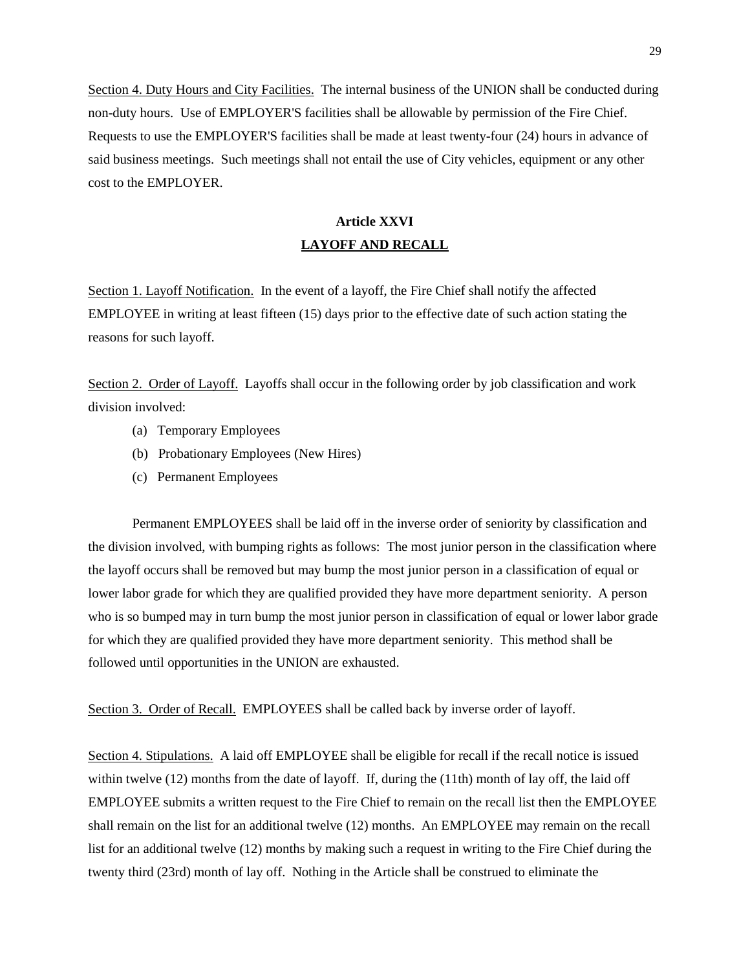Section 4. Duty Hours and City Facilities. The internal business of the UNION shall be conducted during non-duty hours. Use of EMPLOYER'S facilities shall be allowable by permission of the Fire Chief. Requests to use the EMPLOYER'S facilities shall be made at least twenty-four (24) hours in advance of said business meetings. Such meetings shall not entail the use of City vehicles, equipment or any other cost to the EMPLOYER.

# **Article XXVI LAYOFF AND RECALL**

Section 1. Layoff Notification. In the event of a layoff, the Fire Chief shall notify the affected EMPLOYEE in writing at least fifteen (15) days prior to the effective date of such action stating the reasons for such layoff.

Section 2. Order of Layoff. Layoffs shall occur in the following order by job classification and work division involved:

- (a) Temporary Employees
- (b) Probationary Employees (New Hires)
- (c) Permanent Employees

Permanent EMPLOYEES shall be laid off in the inverse order of seniority by classification and the division involved, with bumping rights as follows: The most junior person in the classification where the layoff occurs shall be removed but may bump the most junior person in a classification of equal or lower labor grade for which they are qualified provided they have more department seniority. A person who is so bumped may in turn bump the most junior person in classification of equal or lower labor grade for which they are qualified provided they have more department seniority. This method shall be followed until opportunities in the UNION are exhausted.

Section 3. Order of Recall. EMPLOYEES shall be called back by inverse order of layoff.

Section 4. Stipulations. A laid off EMPLOYEE shall be eligible for recall if the recall notice is issued within twelve (12) months from the date of layoff. If, during the (11th) month of lay off, the laid off EMPLOYEE submits a written request to the Fire Chief to remain on the recall list then the EMPLOYEE shall remain on the list for an additional twelve (12) months. An EMPLOYEE may remain on the recall list for an additional twelve (12) months by making such a request in writing to the Fire Chief during the twenty third (23rd) month of lay off. Nothing in the Article shall be construed to eliminate the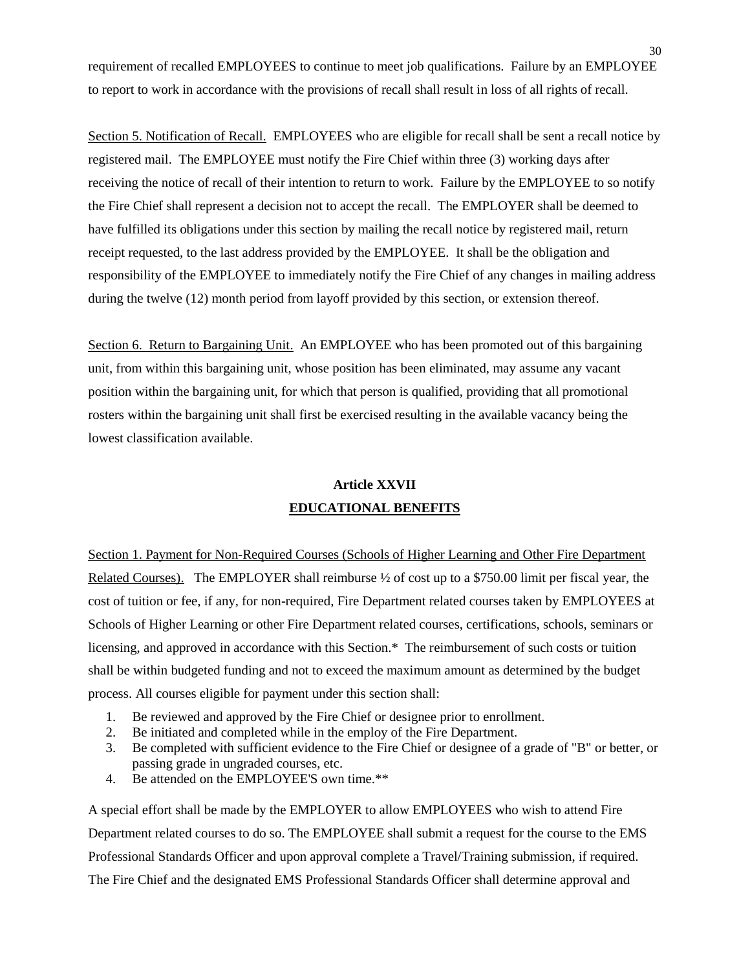requirement of recalled EMPLOYEES to continue to meet job qualifications. Failure by an EMPLOYEE to report to work in accordance with the provisions of recall shall result in loss of all rights of recall.

Section 5. Notification of Recall. EMPLOYEES who are eligible for recall shall be sent a recall notice by registered mail. The EMPLOYEE must notify the Fire Chief within three (3) working days after receiving the notice of recall of their intention to return to work. Failure by the EMPLOYEE to so notify the Fire Chief shall represent a decision not to accept the recall. The EMPLOYER shall be deemed to have fulfilled its obligations under this section by mailing the recall notice by registered mail, return receipt requested, to the last address provided by the EMPLOYEE. It shall be the obligation and responsibility of the EMPLOYEE to immediately notify the Fire Chief of any changes in mailing address during the twelve (12) month period from layoff provided by this section, or extension thereof.

Section 6. Return to Bargaining Unit. An EMPLOYEE who has been promoted out of this bargaining unit, from within this bargaining unit, whose position has been eliminated, may assume any vacant position within the bargaining unit, for which that person is qualified, providing that all promotional rosters within the bargaining unit shall first be exercised resulting in the available vacancy being the lowest classification available.

## **Article XXVII EDUCATIONAL BENEFITS**

Section 1. Payment for Non-Required Courses (Schools of Higher Learning and Other Fire Department Related Courses). The EMPLOYER shall reimburse  $\frac{1}{2}$  of cost up to a \$750.00 limit per fiscal year, the cost of tuition or fee, if any, for non-required, Fire Department related courses taken by EMPLOYEES at Schools of Higher Learning or other Fire Department related courses, certifications, schools, seminars or licensing, and approved in accordance with this Section.\* The reimbursement of such costs or tuition shall be within budgeted funding and not to exceed the maximum amount as determined by the budget process. All courses eligible for payment under this section shall:

- 1. Be reviewed and approved by the Fire Chief or designee prior to enrollment.
- 2. Be initiated and completed while in the employ of the Fire Department.
- 3. Be completed with sufficient evidence to the Fire Chief or designee of a grade of "B" or better, or passing grade in ungraded courses, etc.
- 4. Be attended on the EMPLOYEE'S own time.\*\*

A special effort shall be made by the EMPLOYER to allow EMPLOYEES who wish to attend Fire Department related courses to do so. The EMPLOYEE shall submit a request for the course to the EMS Professional Standards Officer and upon approval complete a Travel/Training submission, if required. The Fire Chief and the designated EMS Professional Standards Officer shall determine approval and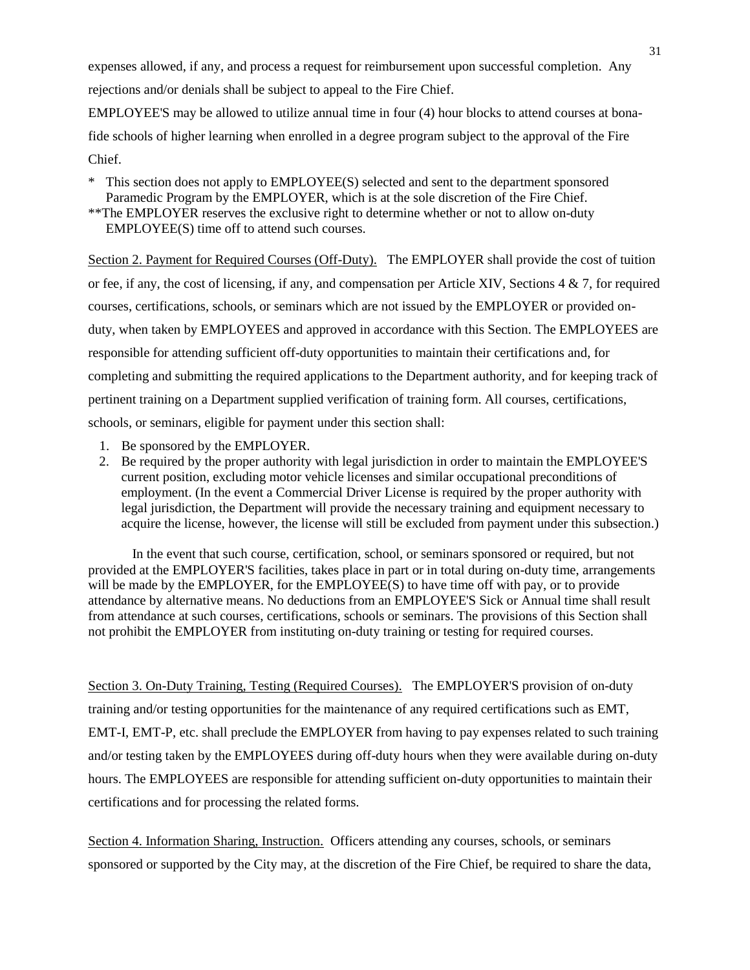expenses allowed, if any, and process a request for reimbursement upon successful completion. Any rejections and/or denials shall be subject to appeal to the Fire Chief.

EMPLOYEE'S may be allowed to utilize annual time in four (4) hour blocks to attend courses at bonafide schools of higher learning when enrolled in a degree program subject to the approval of the Fire Chief.

\* This section does not apply to EMPLOYEE(S) selected and sent to the department sponsored Paramedic Program by the EMPLOYER, which is at the sole discretion of the Fire Chief.

\*\*The EMPLOYER reserves the exclusive right to determine whether or not to allow on-duty EMPLOYEE(S) time off to attend such courses.

Section 2. Payment for Required Courses (Off-Duty). The EMPLOYER shall provide the cost of tuition or fee, if any, the cost of licensing, if any, and compensation per Article XIV, Sections 4 & 7, for required courses, certifications, schools, or seminars which are not issued by the EMPLOYER or provided onduty, when taken by EMPLOYEES and approved in accordance with this Section. The EMPLOYEES are responsible for attending sufficient off-duty opportunities to maintain their certifications and, for completing and submitting the required applications to the Department authority, and for keeping track of pertinent training on a Department supplied verification of training form. All courses, certifications, schools, or seminars, eligible for payment under this section shall:

- 1. Be sponsored by the EMPLOYER.
- 2. Be required by the proper authority with legal jurisdiction in order to maintain the EMPLOYEE'S current position, excluding motor vehicle licenses and similar occupational preconditions of employment. (In the event a Commercial Driver License is required by the proper authority with legal jurisdiction, the Department will provide the necessary training and equipment necessary to acquire the license, however, the license will still be excluded from payment under this subsection.)

In the event that such course, certification, school, or seminars sponsored or required, but not provided at the EMPLOYER'S facilities, takes place in part or in total during on-duty time, arrangements will be made by the EMPLOYER, for the EMPLOYEE(S) to have time off with pay, or to provide attendance by alternative means. No deductions from an EMPLOYEE'S Sick or Annual time shall result from attendance at such courses, certifications, schools or seminars. The provisions of this Section shall not prohibit the EMPLOYER from instituting on-duty training or testing for required courses.

Section 3. On-Duty Training, Testing (Required Courses). The EMPLOYER'S provision of on-duty training and/or testing opportunities for the maintenance of any required certifications such as EMT, EMT-I, EMT-P, etc. shall preclude the EMPLOYER from having to pay expenses related to such training and/or testing taken by the EMPLOYEES during off-duty hours when they were available during on-duty hours. The EMPLOYEES are responsible for attending sufficient on-duty opportunities to maintain their certifications and for processing the related forms.

Section 4. Information Sharing, Instruction. Officers attending any courses, schools, or seminars sponsored or supported by the City may, at the discretion of the Fire Chief, be required to share the data,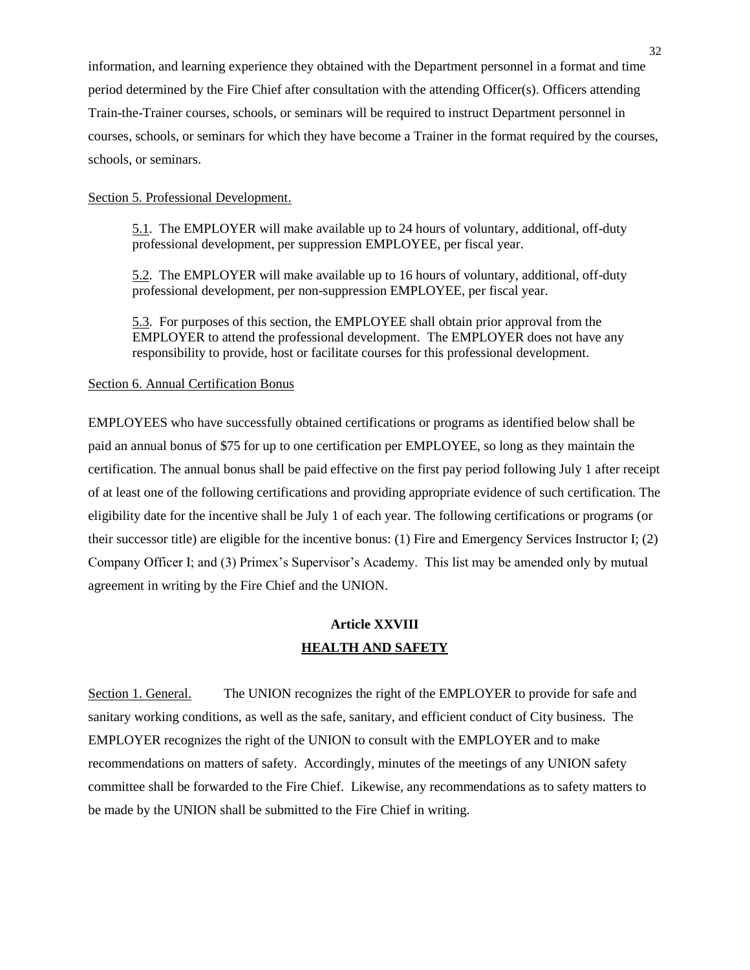information, and learning experience they obtained with the Department personnel in a format and time period determined by the Fire Chief after consultation with the attending Officer(s). Officers attending Train-the-Trainer courses, schools, or seminars will be required to instruct Department personnel in courses, schools, or seminars for which they have become a Trainer in the format required by the courses, schools, or seminars.

#### Section 5. Professional Development.

5.1. The EMPLOYER will make available up to 24 hours of voluntary, additional, off-duty professional development, per suppression EMPLOYEE, per fiscal year.

5.2. The EMPLOYER will make available up to 16 hours of voluntary, additional, off-duty professional development, per non-suppression EMPLOYEE, per fiscal year.

5.3. For purposes of this section, the EMPLOYEE shall obtain prior approval from the EMPLOYER to attend the professional development. The EMPLOYER does not have any responsibility to provide, host or facilitate courses for this professional development.

#### Section 6. Annual Certification Bonus

EMPLOYEES who have successfully obtained certifications or programs as identified below shall be paid an annual bonus of \$75 for up to one certification per EMPLOYEE, so long as they maintain the certification. The annual bonus shall be paid effective on the first pay period following July 1 after receipt of at least one of the following certifications and providing appropriate evidence of such certification. The eligibility date for the incentive shall be July 1 of each year. The following certifications or programs (or their successor title) are eligible for the incentive bonus: (1) Fire and Emergency Services Instructor I; (2) Company Officer I; and (3) Primex's Supervisor's Academy. This list may be amended only by mutual agreement in writing by the Fire Chief and the UNION.

## **Article XXVIII HEALTH AND SAFETY**

Section 1. General. The UNION recognizes the right of the EMPLOYER to provide for safe and sanitary working conditions, as well as the safe, sanitary, and efficient conduct of City business. The EMPLOYER recognizes the right of the UNION to consult with the EMPLOYER and to make recommendations on matters of safety. Accordingly, minutes of the meetings of any UNION safety committee shall be forwarded to the Fire Chief. Likewise, any recommendations as to safety matters to be made by the UNION shall be submitted to the Fire Chief in writing.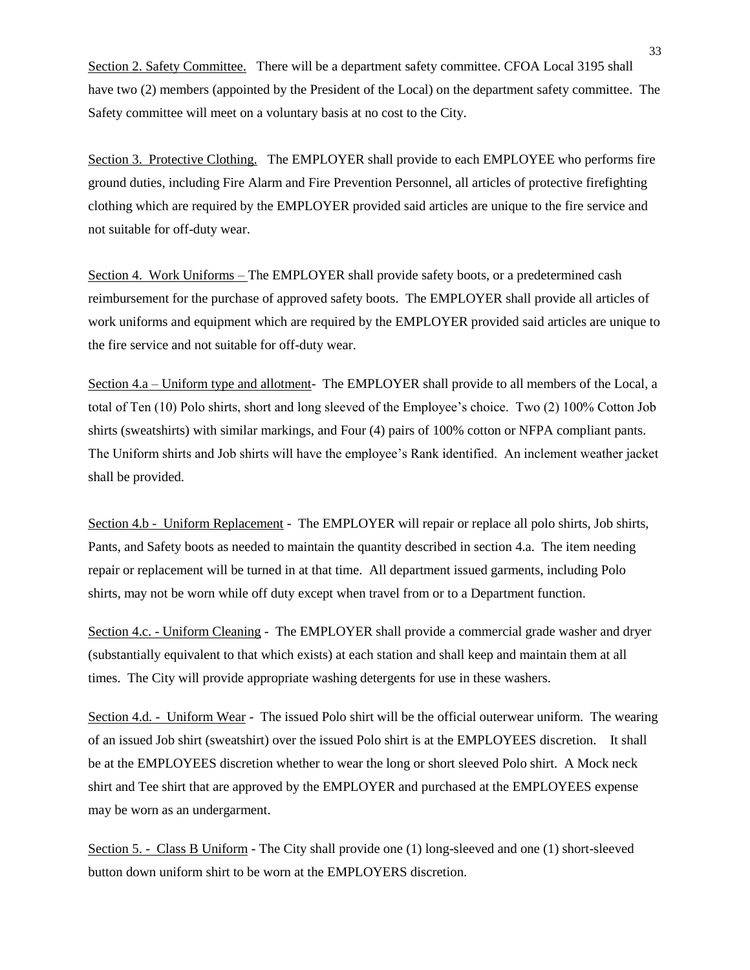Section 2. Safety Committee. There will be a department safety committee. CFOA Local 3195 shall have two (2) members (appointed by the President of the Local) on the department safety committee. The Safety committee will meet on a voluntary basis at no cost to the City.

Section 3. Protective Clothing. The EMPLOYER shall provide to each EMPLOYEE who performs fire ground duties, including Fire Alarm and Fire Prevention Personnel, all articles of protective firefighting clothing which are required by the EMPLOYER provided said articles are unique to the fire service and not suitable for off-duty wear.

Section 4. Work Uniforms – The EMPLOYER shall provide safety boots, or a predetermined cash reimbursement for the purchase of approved safety boots. The EMPLOYER shall provide all articles of work uniforms and equipment which are required by the EMPLOYER provided said articles are unique to the fire service and not suitable for off-duty wear.

Section 4.a – Uniform type and allotment- The EMPLOYER shall provide to all members of the Local, a total of Ten (10) Polo shirts, short and long sleeved of the Employee's choice. Two (2) 100% Cotton Job shirts (sweatshirts) with similar markings, and Four (4) pairs of 100% cotton or NFPA compliant pants. The Uniform shirts and Job shirts will have the employee's Rank identified. An inclement weather jacket shall be provided.

Section 4.b - Uniform Replacement - The EMPLOYER will repair or replace all polo shirts, Job shirts, Pants, and Safety boots as needed to maintain the quantity described in section 4.a. The item needing repair or replacement will be turned in at that time. All department issued garments, including Polo shirts, may not be worn while off duty except when travel from or to a Department function.

Section 4.c. - Uniform Cleaning - The EMPLOYER shall provide a commercial grade washer and dryer (substantially equivalent to that which exists) at each station and shall keep and maintain them at all times. The City will provide appropriate washing detergents for use in these washers.

Section 4.d. - Uniform Wear - The issued Polo shirt will be the official outerwear uniform. The wearing of an issued Job shirt (sweatshirt) over the issued Polo shirt is at the EMPLOYEES discretion. It shall be at the EMPLOYEES discretion whether to wear the long or short sleeved Polo shirt. A Mock neck shirt and Tee shirt that are approved by the EMPLOYER and purchased at the EMPLOYEES expense may be worn as an undergarment.

Section 5. - Class B Uniform - The City shall provide one (1) long-sleeved and one (1) short-sleeved button down uniform shirt to be worn at the EMPLOYERS discretion.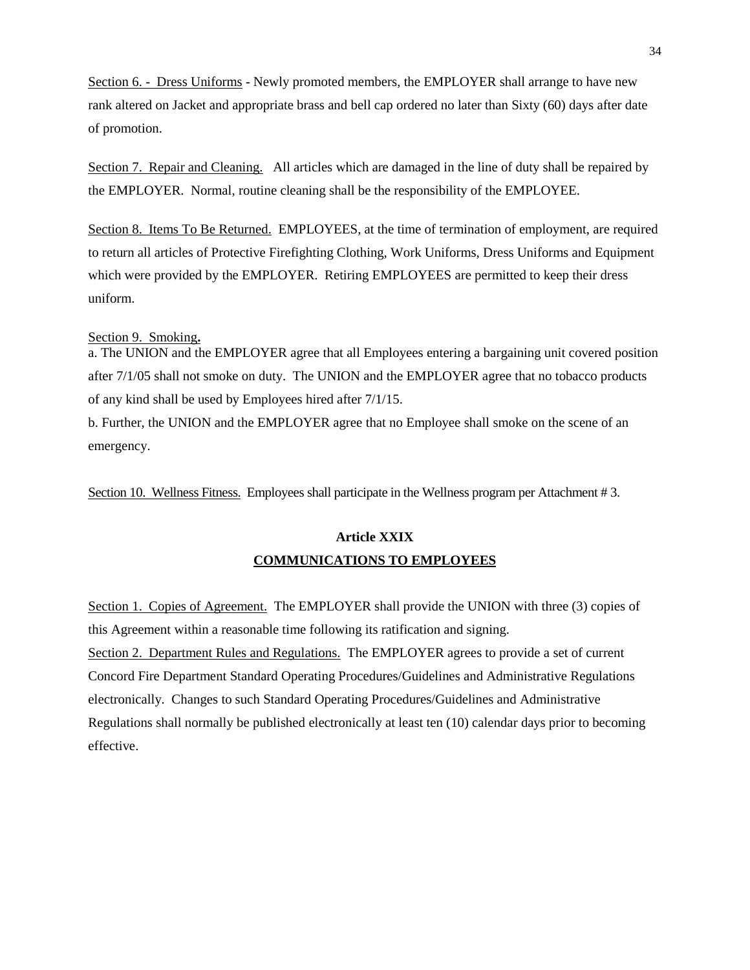Section 6. - Dress Uniforms - Newly promoted members, the EMPLOYER shall arrange to have new rank altered on Jacket and appropriate brass and bell cap ordered no later than Sixty (60) days after date of promotion.

Section 7. Repair and Cleaning. All articles which are damaged in the line of duty shall be repaired by the EMPLOYER. Normal, routine cleaning shall be the responsibility of the EMPLOYEE.

Section 8. Items To Be Returned. EMPLOYEES, at the time of termination of employment, are required to return all articles of Protective Firefighting Clothing, Work Uniforms, Dress Uniforms and Equipment which were provided by the EMPLOYER. Retiring EMPLOYEES are permitted to keep their dress uniform.

#### Section 9. Smoking**.**

a. The UNION and the EMPLOYER agree that all Employees entering a bargaining unit covered position after 7/1/05 shall not smoke on duty. The UNION and the EMPLOYER agree that no tobacco products of any kind shall be used by Employees hired after 7/1/15.

b. Further, the UNION and the EMPLOYER agree that no Employee shall smoke on the scene of an emergency.

Section 10. Wellness Fitness. Employees shall participate in the Wellness program per Attachment # 3.

# **Article XXIX COMMUNICATIONS TO EMPLOYEES**

Section 1. Copies of Agreement. The EMPLOYER shall provide the UNION with three (3) copies of this Agreement within a reasonable time following its ratification and signing. Section 2. Department Rules and Regulations. The EMPLOYER agrees to provide a set of current Concord Fire Department Standard Operating Procedures/Guidelines and Administrative Regulations electronically. Changes to such Standard Operating Procedures/Guidelines and Administrative Regulations shall normally be published electronically at least ten (10) calendar days prior to becoming effective.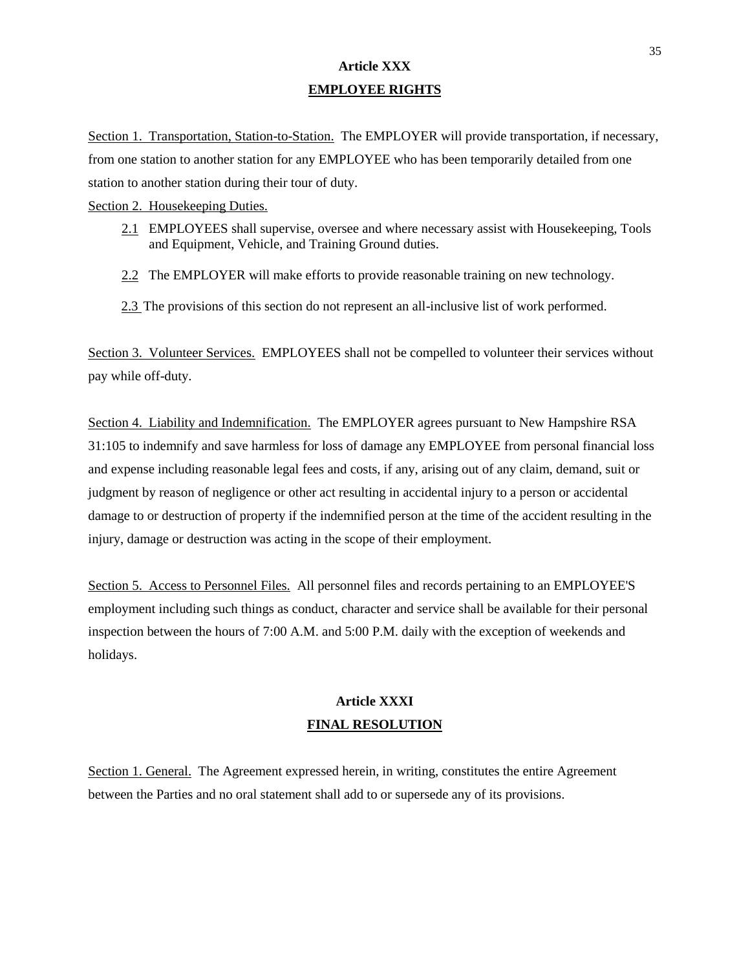## **Article XXX EMPLOYEE RIGHTS**

Section 1. Transportation, Station-to-Station. The EMPLOYER will provide transportation, if necessary, from one station to another station for any EMPLOYEE who has been temporarily detailed from one station to another station during their tour of duty.

Section 2. Housekeeping Duties.

- 2.1 EMPLOYEES shall supervise, oversee and where necessary assist with Housekeeping, Tools and Equipment, Vehicle, and Training Ground duties.
- 2.2 The EMPLOYER will make efforts to provide reasonable training on new technology.
- 2.3 The provisions of this section do not represent an all-inclusive list of work performed.

Section 3. Volunteer Services. EMPLOYEES shall not be compelled to volunteer their services without pay while off-duty.

Section 4. Liability and Indemnification. The EMPLOYER agrees pursuant to New Hampshire RSA 31:105 to indemnify and save harmless for loss of damage any EMPLOYEE from personal financial loss and expense including reasonable legal fees and costs, if any, arising out of any claim, demand, suit or judgment by reason of negligence or other act resulting in accidental injury to a person or accidental damage to or destruction of property if the indemnified person at the time of the accident resulting in the injury, damage or destruction was acting in the scope of their employment.

Section 5. Access to Personnel Files. All personnel files and records pertaining to an EMPLOYEE'S employment including such things as conduct, character and service shall be available for their personal inspection between the hours of 7:00 A.M. and 5:00 P.M. daily with the exception of weekends and holidays.

# **Article XXXI FINAL RESOLUTION**

Section 1. General. The Agreement expressed herein, in writing, constitutes the entire Agreement between the Parties and no oral statement shall add to or supersede any of its provisions.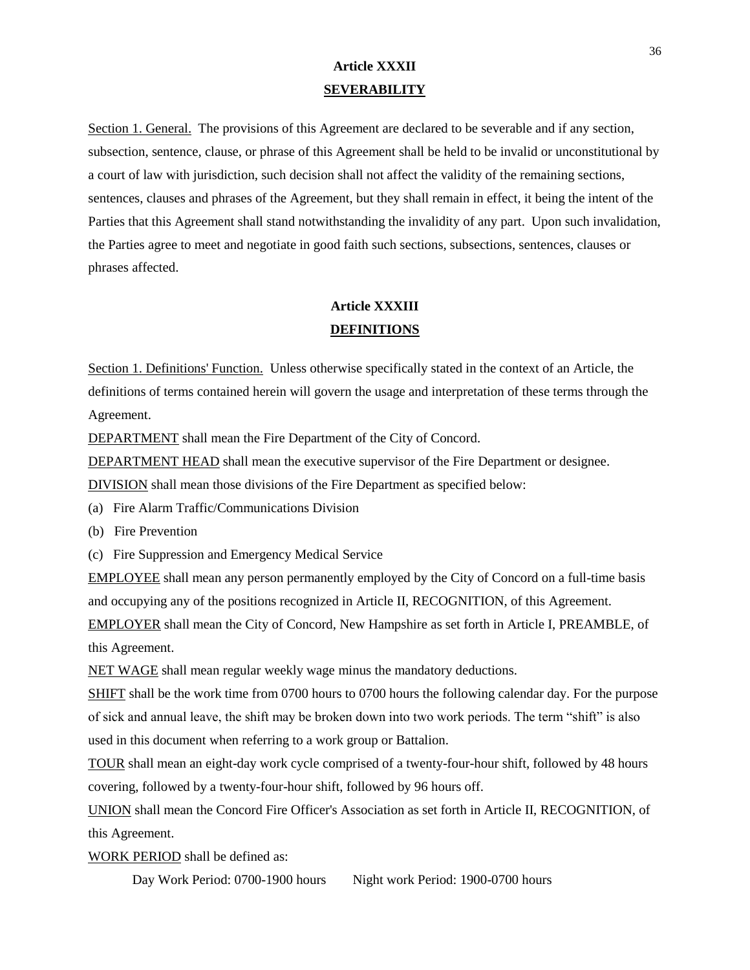## **Article XXXII SEVERABILITY**

Section 1. General. The provisions of this Agreement are declared to be severable and if any section, subsection, sentence, clause, or phrase of this Agreement shall be held to be invalid or unconstitutional by a court of law with jurisdiction, such decision shall not affect the validity of the remaining sections, sentences, clauses and phrases of the Agreement, but they shall remain in effect, it being the intent of the Parties that this Agreement shall stand notwithstanding the invalidity of any part. Upon such invalidation, the Parties agree to meet and negotiate in good faith such sections, subsections, sentences, clauses or phrases affected.

## **Article XXXIII DEFINITIONS**

Section 1. Definitions' Function. Unless otherwise specifically stated in the context of an Article, the definitions of terms contained herein will govern the usage and interpretation of these terms through the Agreement.

DEPARTMENT shall mean the Fire Department of the City of Concord.

DEPARTMENT HEAD shall mean the executive supervisor of the Fire Department or designee.

DIVISION shall mean those divisions of the Fire Department as specified below:

- (a) Fire Alarm Traffic/Communications Division
- (b) Fire Prevention
- (c) Fire Suppression and Emergency Medical Service

EMPLOYEE shall mean any person permanently employed by the City of Concord on a full-time basis and occupying any of the positions recognized in Article II, RECOGNITION, of this Agreement.

EMPLOYER shall mean the City of Concord, New Hampshire as set forth in Article I, PREAMBLE, of this Agreement.

NET WAGE shall mean regular weekly wage minus the mandatory deductions.

SHIFT shall be the work time from 0700 hours to 0700 hours the following calendar day. For the purpose of sick and annual leave, the shift may be broken down into two work periods. The term "shift" is also used in this document when referring to a work group or Battalion.

TOUR shall mean an eight-day work cycle comprised of a twenty-four-hour shift, followed by 48 hours covering, followed by a twenty-four-hour shift, followed by 96 hours off.

UNION shall mean the Concord Fire Officer's Association as set forth in Article II, RECOGNITION, of this Agreement.

WORK PERIOD shall be defined as:

Day Work Period: 0700-1900 hours Night work Period: 1900-0700 hours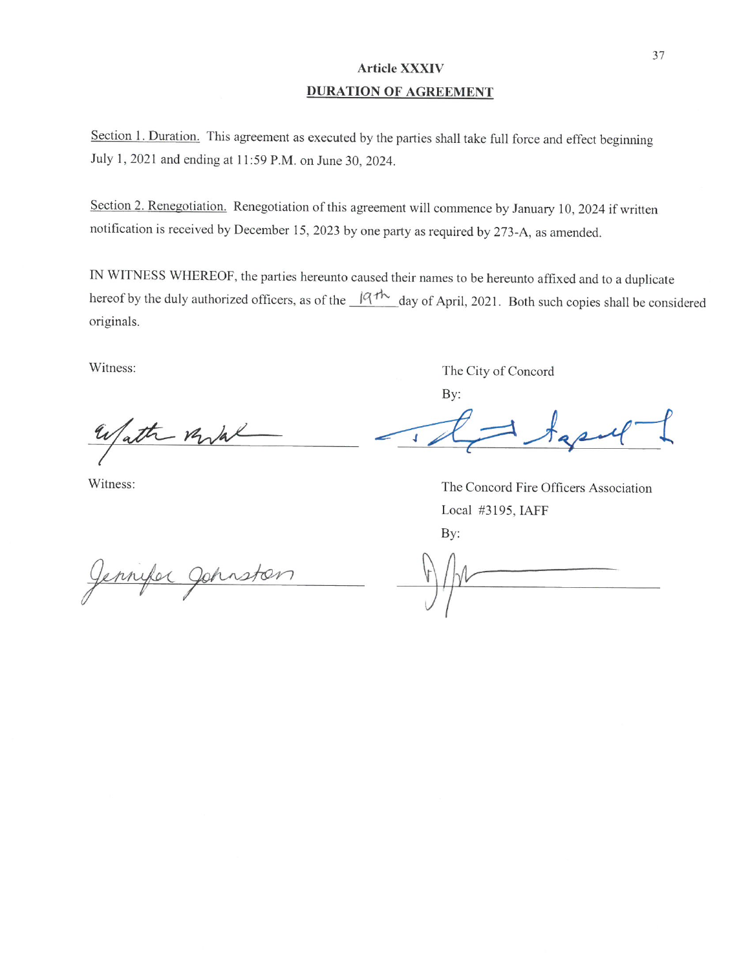## **Article XXXIV DURATION OF AGREEMENT**

Section 1. Duration. This agreement as executed by the parties shall take full force and effect beginning July 1, 2021 and ending at 11:59 P.M. on June 30, 2024.

Section 2. Renegotiation. Renegotiation of this agreement will commence by January 10, 2024 if written notification is received by December 15, 2023 by one party as required by 273-A, as amended.

IN WITNESS WHEREOF, the parties hereunto caused their names to be hereunto affixed and to a duplicate hereof by the duly authorized officers, as of the  $\frac{|q\tau h|}{\tau}$  day of April, 2021. Both such copies shall be considered originals.

Witness:

Wath Milal

Witness:

The City of Concord By:

 $\sqrt{2}$ 

The Concord Fire Officers Association Local #3195, IAFF By:

Jennyler Johnston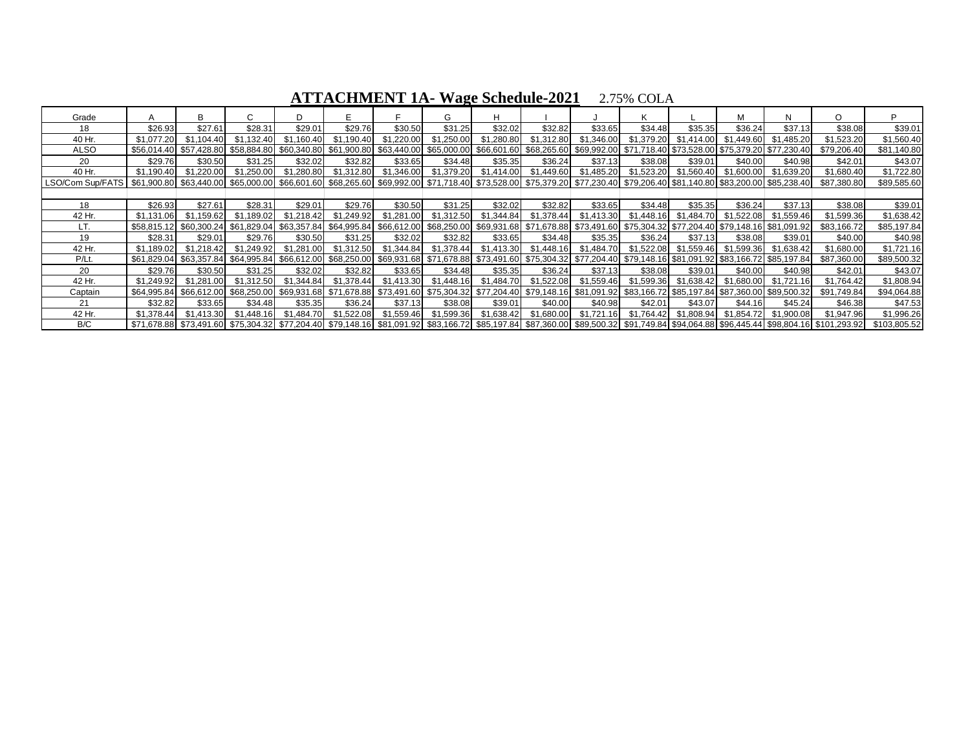| Grade                                                                                                                                                                                                                |            | B                       |             |            |                                                                                                                                                 |            | G          | H                                                                                               |            |            |            |                       | М          | N          | $\circ$                                                                                                                                                                  | D            |
|----------------------------------------------------------------------------------------------------------------------------------------------------------------------------------------------------------------------|------------|-------------------------|-------------|------------|-------------------------------------------------------------------------------------------------------------------------------------------------|------------|------------|-------------------------------------------------------------------------------------------------|------------|------------|------------|-----------------------|------------|------------|--------------------------------------------------------------------------------------------------------------------------------------------------------------------------|--------------|
| 18                                                                                                                                                                                                                   | \$26.93    | \$27.61                 | \$28.31     | \$29.01    | \$29.76                                                                                                                                         | \$30.50    | \$31.25    | \$32.02                                                                                         | \$32.82    | \$33.65    | \$34.48    | \$35.35               | \$36.24    | \$37.13    | \$38.08                                                                                                                                                                  | \$39.01      |
| 40 Hr.                                                                                                                                                                                                               | \$1.077.20 | \$1.104.40              | \$1.132.40  | \$1.160.40 | \$1.190.40                                                                                                                                      | \$1,220.00 | \$1,250.00 | \$1,280.80                                                                                      | \$1,312.80 | \$1.346.00 | \$1,379.20 | \$1,414.00            | \$1.449.60 | \$1,485.20 | \$1,523.20                                                                                                                                                               | \$1,560.40   |
| ALSO                                                                                                                                                                                                                 |            | \$56,014.40 \$57,428.80 |             |            | \$58,884.80 \$60,340.80 \$61,900.80 \$63,440.00                                                                                                 |            |            | \$65,000.00 \$66,601.60 \$68,265.60 \$69,992.00 \$71,718.40 \$73,528.00 \$75,379.20 \$77,230.40 |            |            |            |                       |            |            | \$79,206.40                                                                                                                                                              | \$81,140.80  |
| 20                                                                                                                                                                                                                   | \$29.76    | \$30.50                 | \$31.25     | \$32.02    | \$32.82                                                                                                                                         | \$33.65    | \$34.48    | \$35.35                                                                                         | \$36.24    | \$37.13    | \$38.08    | \$39.01               | \$40.00    | \$40.98    | \$42.01                                                                                                                                                                  | \$43.07      |
| 40 Hr.                                                                                                                                                                                                               | \$1.190.40 | \$1.220.00              | \$1.250.00  | \$1.280.80 | \$1.312.80                                                                                                                                      | \$1,346.00 | \$1,379.20 | \$1,414.00                                                                                      | \$1,449.60 | \$1,485.20 | \$1.523.20 | \$1,560.40            | \$1.600.00 | \$1.639.20 | \$1,680.40                                                                                                                                                               | \$1,722.80   |
| LSO/Com Sup/FATS   \$61,900.80   \$63,440.00   \$65,000.00   \$66,601.60   \$68,265.60   \$69,992.00   \$71,718.40   \$73,528.00   \$75,379.20   \$77,230.40   \$79,206.40   \$83,200.00   \$83,200.00   \$85,238.40 |            |                         |             |            |                                                                                                                                                 |            |            |                                                                                                 |            |            |            |                       |            |            | \$87,380.80                                                                                                                                                              | \$89,585.60  |
|                                                                                                                                                                                                                      |            |                         |             |            |                                                                                                                                                 |            |            |                                                                                                 |            |            |            |                       |            |            |                                                                                                                                                                          |              |
| 18                                                                                                                                                                                                                   | \$26.93    | \$27.61                 | \$28.31     | \$29.01    | \$29.76                                                                                                                                         | \$30.50    | \$31.25    | \$32.02                                                                                         | \$32.82    | \$33.65    | \$34.48    | \$35.35               | \$36.24    | \$37.13    | \$38.08                                                                                                                                                                  | \$39.01      |
| 42 Hr.                                                                                                                                                                                                               | \$1.131.06 | \$1,159.62              | \$1.189.02  | \$1.218.42 | \$1.249.92                                                                                                                                      | \$1.281.00 | \$1.312.50 | \$1,344.84                                                                                      | \$1,378.44 | \$1.413.30 | \$1.448.16 | \$1.484.70            | \$1.522.08 | \$1.559.46 | \$1.599.36                                                                                                                                                               | \$1,638.42   |
| LT.                                                                                                                                                                                                                  |            | \$58,815.12 \$60,300.24 |             |            | \$61,091.92 \$63,357.84 \$64,995.84 \$66,612.00 \$68,250.00 \$69,931.68 \$71,678.88 \$73,491.60 \$75,304.32 \$77,204.40 \$79,148.16 \$81,091.92 |            |            |                                                                                                 |            |            |            |                       |            |            | \$83,166.72                                                                                                                                                              | \$85,197.84  |
| 19                                                                                                                                                                                                                   | \$28.31    | \$29.01                 | \$29.76     | \$30.50    | \$31.25                                                                                                                                         | \$32.02    | \$32.82    | \$33.65                                                                                         | \$34.48    | \$35.35    | \$36.24    | \$37.13               | \$38.08    | \$39.01    | \$40.00                                                                                                                                                                  | \$40.98      |
| 42 Hr.                                                                                                                                                                                                               | \$1,189.02 | \$1.218.42              | \$1.249.92  | \$1.281.00 | \$1.312.50                                                                                                                                      | \$1.344.84 | \$1.378.44 | \$1.413.30                                                                                      | \$1.448.16 | \$1.484.70 |            | \$1.522.08 \$1.559.46 | \$1.599.36 | \$1.638.42 | \$1,680.00                                                                                                                                                               | \$1,721.16   |
| P/Lt                                                                                                                                                                                                                 |            | \$61,829.04 \$63,357.84 | \$64.995.84 |            | \$66,612.00 \$68,250.00 \$69,931.68 \$71,678.88 \$73,491.60 \$75,304.32 \$77,204.40 \$79,148.16 \$81,091.92 \$83,166.72 \$85,197.84             |            |            |                                                                                                 |            |            |            |                       |            |            | \$87,360.00                                                                                                                                                              | \$89,500.32  |
| 20                                                                                                                                                                                                                   | \$29.76    | \$30.50                 | \$31.25     | \$32.02    | \$32.82                                                                                                                                         | \$33.65    | \$34.48    | \$35.35                                                                                         | \$36.24    | \$37.13    | \$38.08    | \$39.01               | \$40.00    | \$40.98    | \$42.01                                                                                                                                                                  | \$43.07      |
| 42 Hr.                                                                                                                                                                                                               | \$1,249.92 | \$1.281.00              | \$1.312.50  | \$1,344.84 | \$1.378.44                                                                                                                                      | \$1.413.30 | \$1,448.16 | \$1.484.70                                                                                      | \$1.522.08 | \$1,559.46 | \$1.599.36 | \$1.638.42            | \$1.680.00 | \$1,721.16 | \$1.764.42                                                                                                                                                               | \$1,808.94   |
| Captain                                                                                                                                                                                                              |            | \$64,995.84 \$66,612.00 |             |            | \$68,250.00 \$69,931.68 \$71,678.88 \$73,491.60 \$75,304.32 \$77,204.40 \$79,148.16 \$81,091.92 \$83,166.72 \$85,197.84 \$87,360.00 \$89,500.32 |            |            |                                                                                                 |            |            |            |                       |            |            | \$91,749.84                                                                                                                                                              | \$94,064.88  |
| 21                                                                                                                                                                                                                   | \$32.82    | \$33.65                 | \$34.48     | \$35.35    | \$36.24                                                                                                                                         | \$37.13    | \$38.08    | \$39.01                                                                                         | \$40.00    | \$40.98    | \$42.01    | \$43.07               | \$44.16    | \$45.24    | \$46.38                                                                                                                                                                  | \$47.53      |
| 42 Hr.                                                                                                                                                                                                               | \$1,378.44 | \$1.413.30              | \$1,448.16  | \$1.484.70 | \$1.522.08                                                                                                                                      | \$1.559.46 | \$1,599.36 | \$1,638.42                                                                                      | \$1.680.00 | \$1.721.16 | \$1.764.42 | \$1.808.94            | \$1.854.72 | \$1,900.08 | \$1.947.96                                                                                                                                                               | \$1,996.26   |
| B/C                                                                                                                                                                                                                  |            | \$71.678.88 \$73.491.60 |             |            |                                                                                                                                                 |            |            |                                                                                                 |            |            |            |                       |            |            | \$75,304.32  \$77,204.40  \$79,148.16  \$81,091.92  \$83,166.72  \$85,197.84  \$87,360.00  \$89,500.32  \$91,749.84  \$94,064.88  \$96,445.44  \$98,804.16  \$101,293.92 | \$103,805.52 |

**ATTACHMENT 1A- Wage Schedule-2021** 2.75% COLA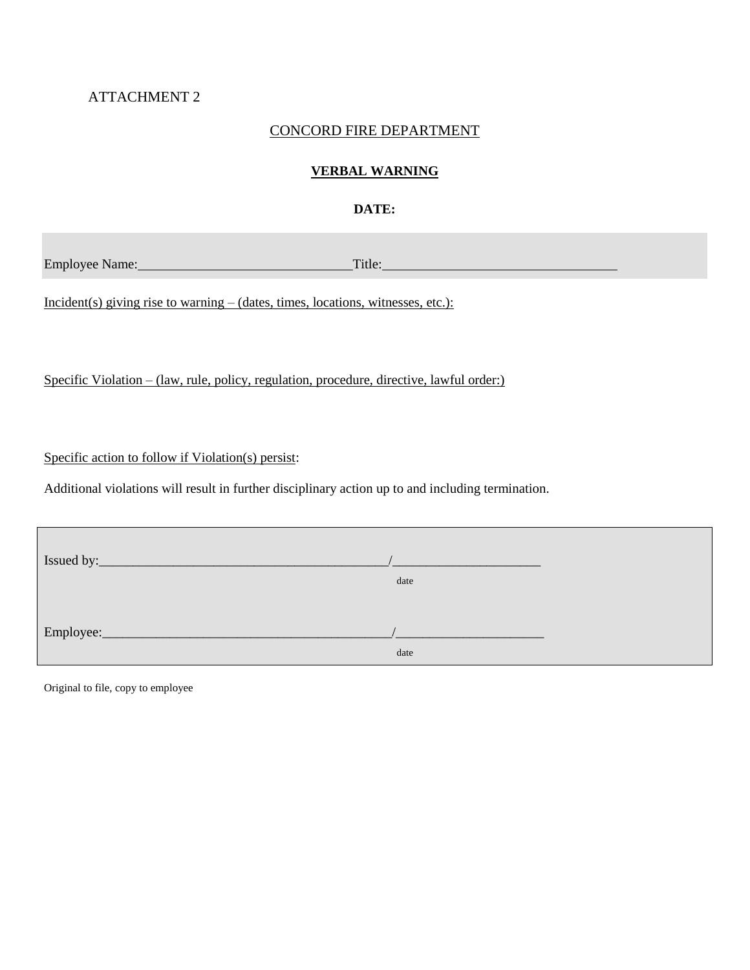## ATTACHMENT 2

### CONCORD FIRE DEPARTMENT

### **VERBAL WARNING**

### **DATE:**

Employee Name: Title: Title: Title: Title: Title: Title: Title: Title: Title: Title: Title: Title: Title: Title: Title: Title: Title: Title: Title: Title: Title: Title: Title: Title: Title: Title: Title: Title: Title: Titl

Incident(s) giving rise to warning – (dates, times, locations, witnesses, etc.):

Specific Violation – (law, rule, policy, regulation, procedure, directive, lawful order:)

Specific action to follow if Violation(s) persist:

Additional violations will result in further disciplinary action up to and including termination.

|                                                                                                                                    | date |  |
|------------------------------------------------------------------------------------------------------------------------------------|------|--|
| Employee:<br><u> 1989 - Johann Stein, mars fyrstu og fyrir og fyrir og fyrir og fyrir og fyrir og fyrir og fyrir og fyrir og f</u> | date |  |

Original to file, copy to employee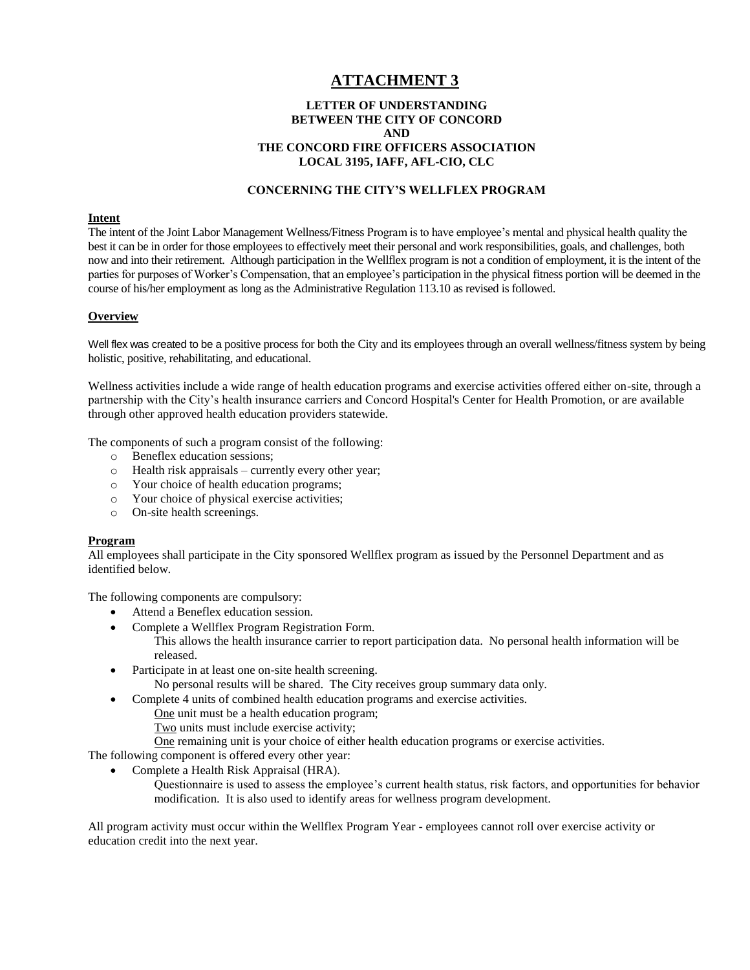## **ATTACHMENT 3**

#### **LETTER OF UNDERSTANDING BETWEEN THE CITY OF CONCORD AND THE CONCORD FIRE OFFICERS ASSOCIATION LOCAL 3195, IAFF, AFL-CIO, CLC**

#### **CONCERNING THE CITY'S WELLFLEX PROGRAM**

#### **Intent**

The intent of the Joint Labor Management Wellness/Fitness Program is to have employee's mental and physical health quality the best it can be in order for those employees to effectively meet their personal and work responsibilities, goals, and challenges, both now and into their retirement. Although participation in the Wellflex program is not a condition of employment, it is the intent of the parties for purposes of Worker's Compensation, that an employee's participation in the physical fitness portion will be deemed in the course of his/her employment as long as the Administrative Regulation 113.10 as revised is followed.

#### **Overview**

Well flex was created to be a positive process for both the City and its employees through an overall wellness/fitness system by being holistic, positive, rehabilitating, and educational.

Wellness activities include a wide range of health education programs and exercise activities offered either on-site, through a partnership with the City's health insurance carriers and Concord Hospital's Center for Health Promotion, or are available through other approved health education providers statewide.

The components of such a program consist of the following:

- o Beneflex education sessions;
- o Health risk appraisals currently every other year;
- o Your choice of health education programs;
- o Your choice of physical exercise activities;
- o On-site health screenings.

#### **Program**

All employees shall participate in the City sponsored Wellflex program as issued by the Personnel Department and as identified below.

The following components are compulsory:

- Attend a Beneflex education session.
- Complete a Wellflex Program Registration Form.
- This allows the health insurance carrier to report participation data. No personal health information will be released.
- Participate in at least one on-site health screening. No personal results will be shared. The City receives group summary data only.
- Complete 4 units of combined health education programs and exercise activities.
	- One unit must be a health education program;
	- Two units must include exercise activity;
	- One remaining unit is your choice of either health education programs or exercise activities.

The following component is offered every other year:

- Complete a Health Risk Appraisal (HRA).
	- Questionnaire is used to assess the employee's current health status, risk factors, and opportunities for behavior modification. It is also used to identify areas for wellness program development.

All program activity must occur within the Wellflex Program Year - employees cannot roll over exercise activity or education credit into the next year.